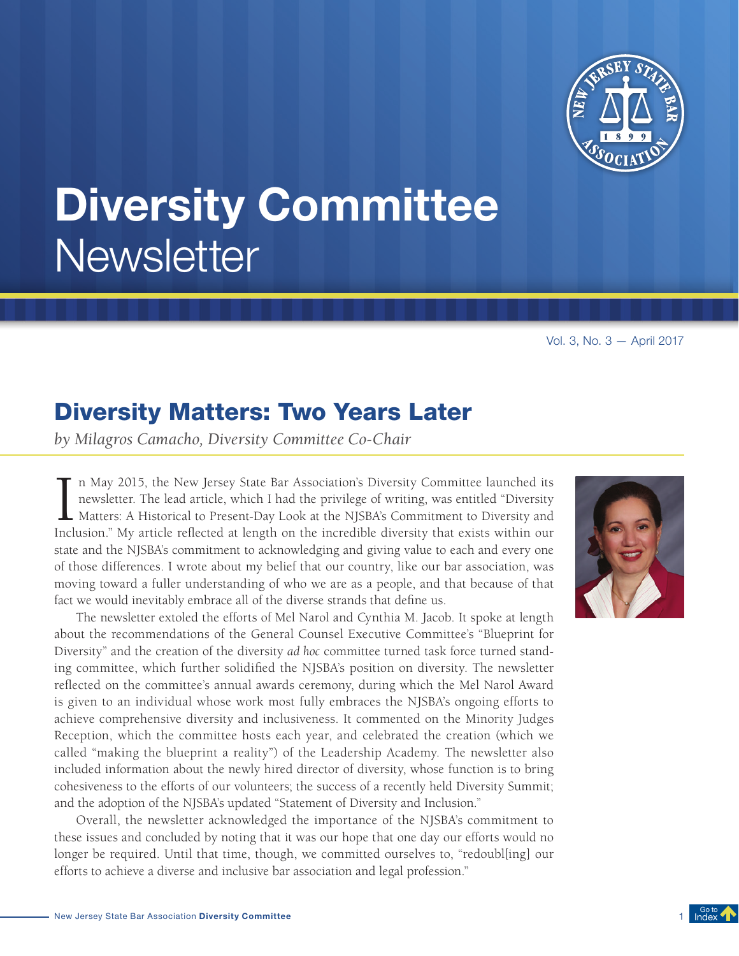

# <span id="page-0-0"></span>Diversity Committee **Newsletter**

Vol. 3, No. 3 — April 2017

### Diversity Matters: Two Years Later

*by Milagros Camacho, Diversity Committee Co-Chair*

In May 2015, the New Jersey State Bar Association's Diversity Committee launched its<br>newsletter. The lead article, which I had the privilege of writing, was entitled "Diversity<br>Matters: A Historical to Present-Day Look at n May 2015, the New Jersey State Bar Association's Diversity Committee launched its newsletter. The lead article, which I had the privilege of writing, was entitled "Diversity Matters: A Historical to Present-Day Look at the NJSBA's Commitment to Diversity and state and the NJSBA's commitment to acknowledging and giving value to each and every one of those differences. I wrote about my belief that our country, like our bar association, was moving toward a fuller understanding of who we are as a people, and that because of that fact we would inevitably embrace all of the diverse strands that define us.

The newsletter extoled the efforts of Mel Narol and Cynthia M. Jacob. It spoke at length about the recommendations of the General Counsel Executive Committee's "Blueprint for Diversity" and the creation of the diversity *ad hoc* committee turned task force turned standing committee, which further solidified the NJSBA's position on diversity. The newsletter reflected on the committee's annual awards ceremony, during which the Mel Narol Award is given to an individual whose work most fully embraces the NJSBA's ongoing efforts to achieve comprehensive diversity and inclusiveness. It commented on the Minority Judges Reception, which the committee hosts each year, and celebrated the creation (which we called "making the blueprint a reality") of the Leadership Academy. The newsletter also included information about the newly hired director of diversity, whose function is to bring cohesiveness to the efforts of our volunteers; the success of a recently held Diversity Summit; and the adoption of the NJSBA's updated "Statement of Diversity and Inclusion."

Overall, the newsletter acknowledged the importance of the NJSBA's commitment to these issues and concluded by noting that it was our hope that one day our efforts would no longer be required. Until that time, though, we committed ourselves to, "redoubl[ing] our efforts to achieve a diverse and inclusive bar association and legal profession."



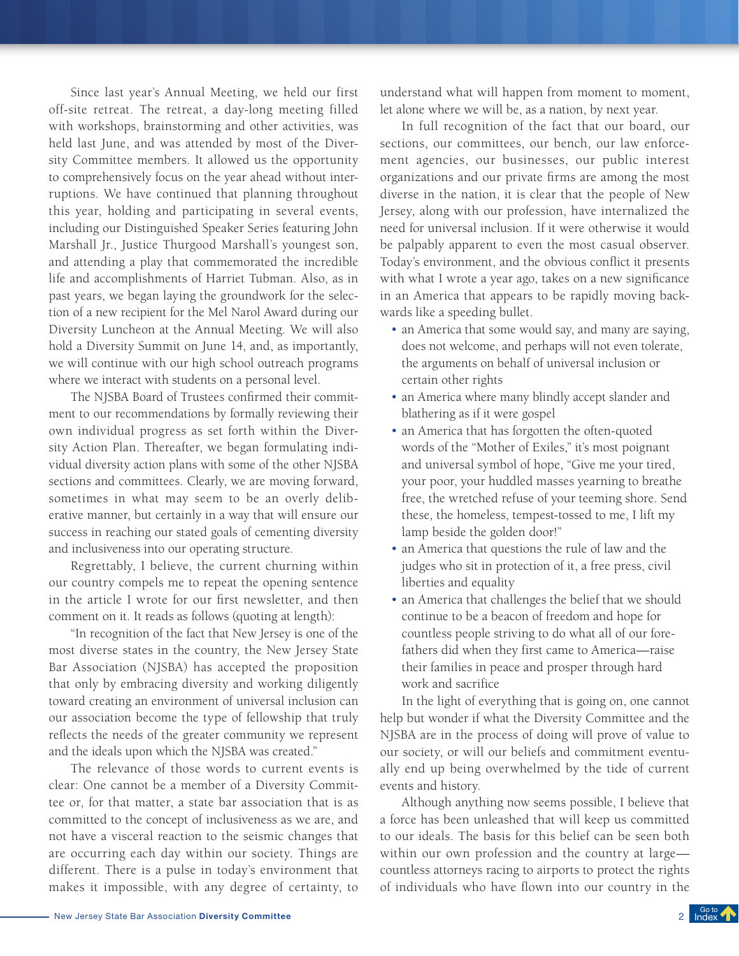Since last year's Annual Meeting, we held our first off-site retreat. The retreat, a day-long meeting filled with workshops, brainstorming and other activities, was held last June, and was attended by most of the Diversity Committee members. It allowed us the opportunity to comprehensively focus on the year ahead without interruptions. We have continued that planning throughout this year, holding and participating in several events, including our Distinguished Speaker Series featuring John Marshall Jr., Justice Thurgood Marshall's youngest son, and attending a play that commemorated the incredible life and accomplishments of Harriet Tubman. Also, as in past years, we began laying the groundwork for the selection of a new recipient for the Mel Narol Award during our Diversity Luncheon at the Annual Meeting. We will also hold a Diversity Summit on June 14, and, as importantly, we will continue with our high school outreach programs where we interact with students on a personal level.

The NJSBA Board of Trustees confirmed their commitment to our recommendations by formally reviewing their own individual progress as set forth within the Diversity Action Plan. Thereafter, we began formulating individual diversity action plans with some of the other NJSBA sections and committees. Clearly, we are moving forward, sometimes in what may seem to be an overly deliberative manner, but certainly in a way that will ensure our success in reaching our stated goals of cementing diversity and inclusiveness into our operating structure.

Regrettably, I believe, the current churning within our country compels me to repeat the opening sentence in the article I wrote for our first newsletter, and then comment on it. It reads as follows (quoting at length):

"In recognition of the fact that New Jersey is one of the most diverse states in the country, the New Jersey State Bar Association (NJSBA) has accepted the proposition that only by embracing diversity and working diligently toward creating an environment of universal inclusion can our association become the type of fellowship that truly reflects the needs of the greater community we represent and the ideals upon which the NJSBA was created."

The relevance of those words to current events is clear: One cannot be a member of a Diversity Committee or, for that matter, a state bar association that is as committed to the concept of inclusiveness as we are, and not have a visceral reaction to the seismic changes that are occurring each day within our society. Things are different. There is a pulse in today's environment that makes it impossible, with any degree of certainty, to understand what will happen from moment to moment, let alone where we will be, as a nation, by next year.

In full recognition of the fact that our board, our sections, our committees, our bench, our law enforcement agencies, our businesses, our public interest organizations and our private firms are among the most diverse in the nation, it is clear that the people of New Jersey, along with our profession, have internalized the need for universal inclusion. If it were otherwise it would be palpably apparent to even the most casual observer. Today's environment, and the obvious conflict it presents with what I wrote a year ago, takes on a new significance in an America that appears to be rapidly moving backwards like a speeding bullet.

- an America that some would say, and many are saying, does not welcome, and perhaps will not even tolerate, the arguments on behalf of universal inclusion or certain other rights
- an America where many blindly accept slander and blathering as if it were gospel
- an America that has forgotten the often-quoted words of the "Mother of Exiles," it's most poignant and universal symbol of hope, "Give me your tired, your poor, your huddled masses yearning to breathe free, the wretched refuse of your teeming shore. Send these, the homeless, tempest-tossed to me, I lift my lamp beside the golden door!"
- an America that questions the rule of law and the judges who sit in protection of it, a free press, civil liberties and equality
- an America that challenges the belief that we should continue to be a beacon of freedom and hope for countless people striving to do what all of our forefathers did when they first came to America—raise their families in peace and prosper through hard work and sacrifice

In the light of everything that is going on, one cannot help but wonder if what the Diversity Committee and the NJSBA are in the process of doing will prove of value to our society, or will our beliefs and commitment eventually end up being overwhelmed by the tide of current events and history.

Although anything now seems possible, I believe that a force has been unleashed that will keep us committed to our ideals. The basis for this belief can be seen both within our own profession and the country at large countless attorneys racing to airports to protect the rights of individuals who have flown into our country in the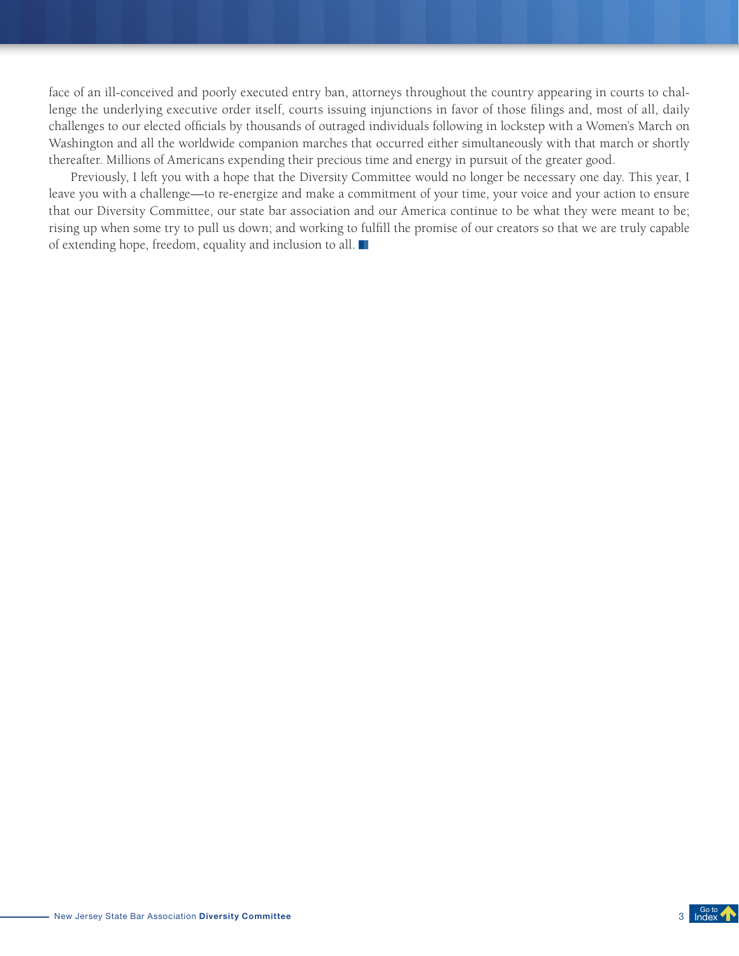face of an ill-conceived and poorly executed entry ban, attorneys throughout the country appearing in courts to challenge the underlying executive order itself, courts issuing injunctions in favor of those filings and, most of all, daily challenges to our elected officials by thousands of outraged individuals following in lockstep with a Women's March on Washington and all the worldwide companion marches that occurred either simultaneously with that march or shortly thereafter. Millions of Americans expending their precious time and energy in pursuit of the greater good.

Previously, I left you with a hope that the Diversity Committee would no longer be necessary one day. This year, I leave you with a challenge—to re-energize and make a commitment of your time, your voice and your action to ensure that our Diversity Committee, our state bar association and our America continue to be what they were meant to be; rising up when some try to pull us down; and working to fulfill the promise of our creators so that we are truly capable of extending hope, freedom, equality and inclusion to all.

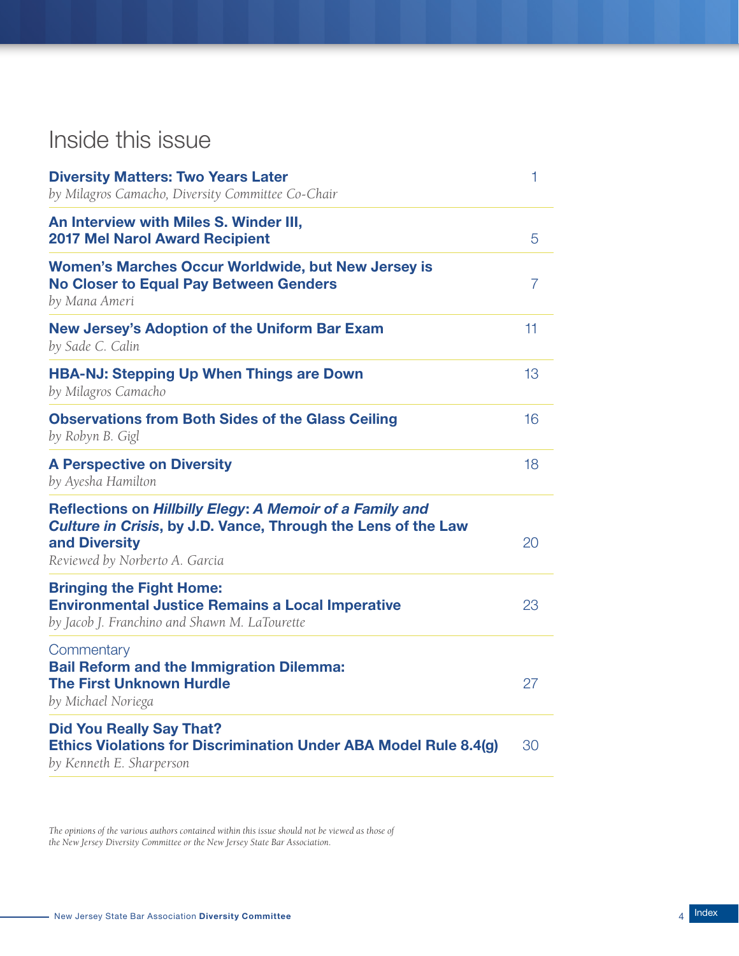# <span id="page-3-0"></span>Inside this issue

| <b>Diversity Matters: Two Years Later</b><br>by Milagros Camacho, Diversity Committee Co-Chair                                                                                      | 1              |
|-------------------------------------------------------------------------------------------------------------------------------------------------------------------------------------|----------------|
| An Interview with Miles S. Winder III,<br><b>2017 Mel Narol Award Recipient</b>                                                                                                     | 5              |
| <b>Women's Marches Occur Worldwide, but New Jersey is</b><br><b>No Closer to Equal Pay Between Genders</b><br>by Mana Ameri                                                         | $\overline{7}$ |
| <b>New Jersey's Adoption of the Uniform Bar Exam</b><br>by Sade C. Calin                                                                                                            | 11             |
| <b>HBA-NJ: Stepping Up When Things are Down</b><br>by Milagros Camacho                                                                                                              | 13             |
| <b>Observations from Both Sides of the Glass Ceiling</b><br>by Robyn B. Gigl                                                                                                        | 16             |
| <b>A Perspective on Diversity</b><br>by Ayesha Hamilton                                                                                                                             | 18             |
| Reflections on Hillbilly Elegy: A Memoir of a Family and<br><b>Culture in Crisis, by J.D. Vance, Through the Lens of the Law</b><br>and Diversity<br>Reviewed by Norberto A. Garcia | 20             |
| <b>Bringing the Fight Home:</b><br><b>Environmental Justice Remains a Local Imperative</b><br>by Jacob J. Franchino and Shawn M. LaTourette                                         | 23             |
| Commentary<br><b>Bail Reform and the Immigration Dilemma:</b><br><b>The First Unknown Hurdle</b><br>by Michael Noriega                                                              | 27             |
| <b>Did You Really Say That?</b><br><b>Ethics Violations for Discrimination Under ABA Model Rule 8.4(g)</b><br>by Kenneth E. Sharperson                                              | 30             |

*The opinions of the various authors contained within this issue should not be viewed as those of the New Jersey Diversity Committee or the New Jersey State Bar Association.*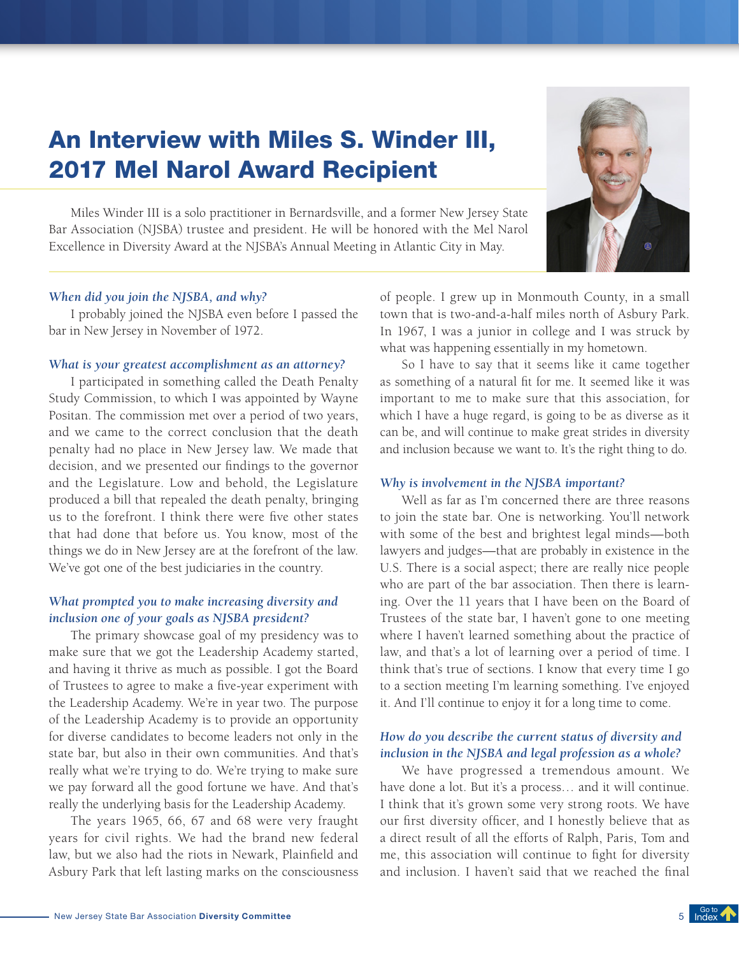# <span id="page-4-0"></span>An Interview with Miles S. Winder III, 2017 Mel Narol Award Recipient

Miles Winder III is a solo practitioner in Bernardsville, and a former New Jersey State Bar Association (NJSBA) trustee and president. He will be honored with the Mel Narol Excellence in Diversity Award at the NJSBA's Annual Meeting in Atlantic City in May.



### *When did you join the NJSBA, and why?*

I probably joined the NJSBA even before I passed the bar in New Jersey in November of 1972.

### *What is your greatest accomplishment as an attorney?*

I participated in something called the Death Penalty Study Commission, to which I was appointed by Wayne Positan. The commission met over a period of two years, and we came to the correct conclusion that the death penalty had no place in New Jersey law. We made that decision, and we presented our findings to the governor and the Legislature. Low and behold, the Legislature produced a bill that repealed the death penalty, bringing us to the forefront. I think there were five other states that had done that before us. You know, most of the things we do in New Jersey are at the forefront of the law. We've got one of the best judiciaries in the country.

### *What prompted you to make increasing diversity and inclusion one of your goals as NJSBA president?*

The primary showcase goal of my presidency was to make sure that we got the Leadership Academy started, and having it thrive as much as possible. I got the Board of Trustees to agree to make a five-year experiment with the Leadership Academy. We're in year two. The purpose of the Leadership Academy is to provide an opportunity for diverse candidates to become leaders not only in the state bar, but also in their own communities. And that's really what we're trying to do. We're trying to make sure we pay forward all the good fortune we have. And that's really the underlying basis for the Leadership Academy.

The years 1965, 66, 67 and 68 were very fraught years for civil rights. We had the brand new federal law, but we also had the riots in Newark, Plainfield and Asbury Park that left lasting marks on the consciousness of people. I grew up in Monmouth County, in a small town that is two-and-a-half miles north of Asbury Park. In 1967, I was a junior in college and I was struck by what was happening essentially in my hometown.

So I have to say that it seems like it came together as something of a natural fit for me. It seemed like it was important to me to make sure that this association, for which I have a huge regard, is going to be as diverse as it can be, and will continue to make great strides in diversity and inclusion because we want to. It's the right thing to do.

#### *Why is involvement in the NJSBA important?*

Well as far as I'm concerned there are three reasons to join the state bar. One is networking. You'll network with some of the best and brightest legal minds—both lawyers and judges—that are probably in existence in the U.S. There is a social aspect; there are really nice people who are part of the bar association. Then there is learning. Over the 11 years that I have been on the Board of Trustees of the state bar, I haven't gone to one meeting where I haven't learned something about the practice of law, and that's a lot of learning over a period of time. I think that's true of sections. I know that every time I go to a section meeting I'm learning something. I've enjoyed it. And I'll continue to enjoy it for a long time to come.

### *How do you describe the current status of diversity and inclusion in the NJSBA and legal profession as a whole?*

We have progressed a tremendous amount. We have done a lot. But it's a process… and it will continue. I think that it's grown some very strong roots. We have our first diversity officer, and I honestly believe that as a direct result of all the efforts of Ralph, Paris, Tom and me, this association will continue to fight for diversity and inclusion. I haven't said that we reached the final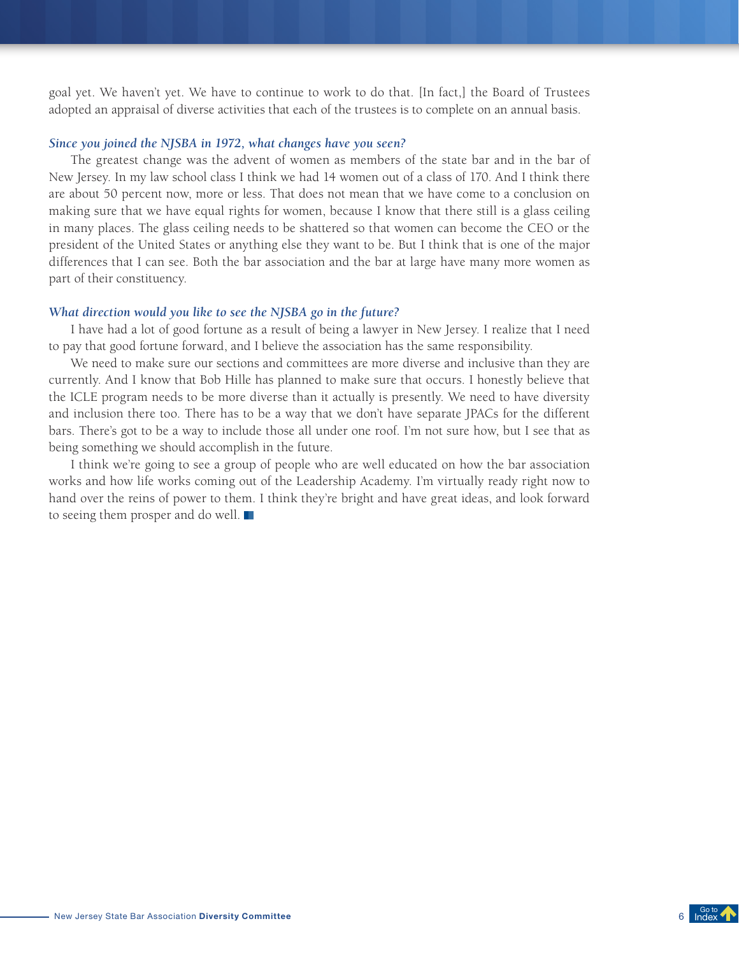goal yet. We haven't yet. We have to continue to work to do that. [In fact,] the Board of Trustees adopted an appraisal of diverse activities that each of the trustees is to complete on an annual basis.

### *Since you joined the NJSBA in 1972, what changes have you seen?*

The greatest change was the advent of women as members of the state bar and in the bar of New Jersey. In my law school class I think we had 14 women out of a class of 170. And I think there are about 50 percent now, more or less. That does not mean that we have come to a conclusion on making sure that we have equal rights for women, because I know that there still is a glass ceiling in many places. The glass ceiling needs to be shattered so that women can become the CEO or the president of the United States or anything else they want to be. But I think that is one of the major differences that I can see. Both the bar association and the bar at large have many more women as part of their constituency.

### *What direction would you like to see the NJSBA go in the future?*

I have had a lot of good fortune as a result of being a lawyer in New Jersey. I realize that I need to pay that good fortune forward, and I believe the association has the same responsibility.

We need to make sure our sections and committees are more diverse and inclusive than they are currently. And I know that Bob Hille has planned to make sure that occurs. I honestly believe that the ICLE program needs to be more diverse than it actually is presently. We need to have diversity and inclusion there too. There has to be a way that we don't have separate JPACs for the different bars. There's got to be a way to include those all under one roof. I'm not sure how, but I see that as being something we should accomplish in the future.

I think we're going to see a group of people who are well educated on how the bar association works and how life works coming out of the Leadership Academy. I'm virtually ready right now to hand over the reins of power to them. I think they're bright and have great ideas, and look forward to seeing them prosper and do well.

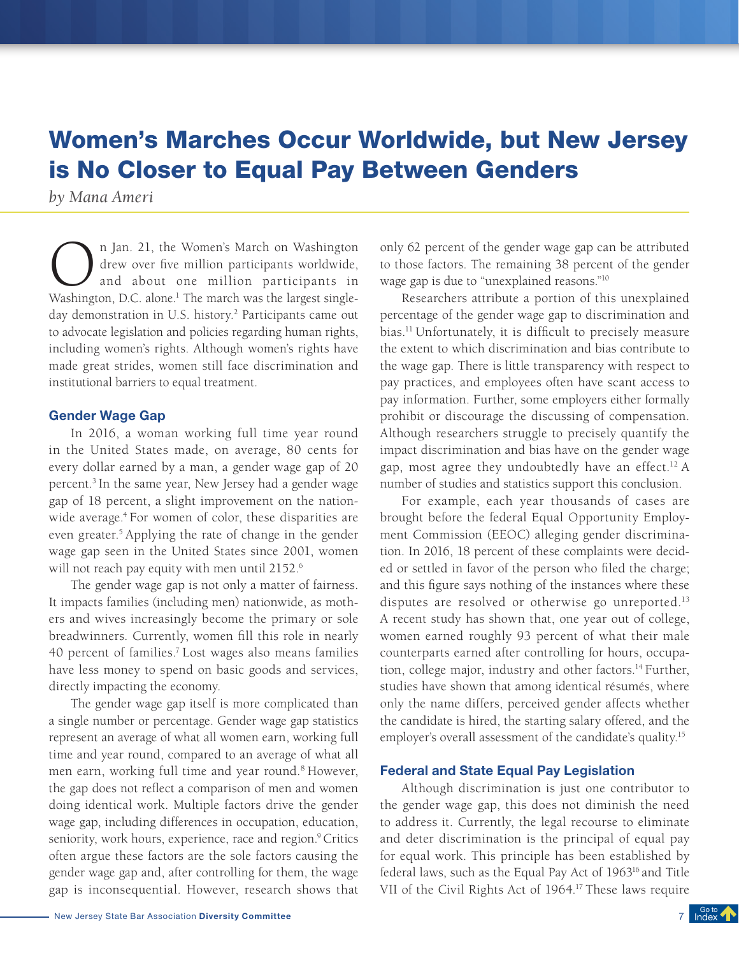# <span id="page-6-0"></span>Women's Marches Occur Worldwide, but New Jersey is No Closer to Equal Pay Between Genders

*by Mana Ameri*

 $\bigcap_{\text{new over five million participants worldwide, and about one million participants in Washington DC alone}^1$  The march was the largest singledrew over five million participants worldwide, and about one million participants in Washington, D.C. alone.<sup>1</sup> The march was the largest singleday demonstration in U.S. history.<sup>2</sup> Participants came out to advocate legislation and policies regarding human rights, including women's rights. Although women's rights have made great strides, women still face discrimination and institutional barriers to equal treatment.

### Gender Wage Gap

In 2016, a woman working full time year round in the United States made, on average, 80 cents for every dollar earned by a man, a gender wage gap of 20 percent.<sup>3</sup> In the same year, New Jersey had a gender wage gap of 18 percent, a slight improvement on the nationwide average.<sup>4</sup> For women of color, these disparities are even greater.<sup>5</sup> Applying the rate of change in the gender wage gap seen in the United States since 2001, women will not reach pay equity with men until 2152.<sup>6</sup>

The gender wage gap is not only a matter of fairness. It impacts families (including men) nationwide, as mothers and wives increasingly become the primary or sole breadwinners. Currently, women fill this role in nearly 40 percent of families.7 Lost wages also means families have less money to spend on basic goods and services, directly impacting the economy.

The gender wage gap itself is more complicated than a single number or percentage. Gender wage gap statistics represent an average of what all women earn, working full time and year round, compared to an average of what all men earn, working full time and year round.<sup>8</sup> However, the gap does not reflect a comparison of men and women doing identical work. Multiple factors drive the gender wage gap, including differences in occupation, education, seniority, work hours, experience, race and region.<sup>9</sup> Critics often argue these factors are the sole factors causing the gender wage gap and, after controlling for them, the wage gap is inconsequential. However, research shows that

only 62 percent of the gender wage gap can be attributed to those factors. The remaining 38 percent of the gender wage gap is due to "unexplained reasons."10

Researchers attribute a portion of this unexplained percentage of the gender wage gap to discrimination and bias.11 Unfortunately, it is difficult to precisely measure the extent to which discrimination and bias contribute to the wage gap. There is little transparency with respect to pay practices, and employees often have scant access to pay information. Further, some employers either formally prohibit or discourage the discussing of compensation. Although researchers struggle to precisely quantify the impact discrimination and bias have on the gender wage gap, most agree they undoubtedly have an effect.12 A number of studies and statistics support this conclusion.

For example, each year thousands of cases are brought before the federal Equal Opportunity Employment Commission (EEOC) alleging gender discrimination. In 2016, 18 percent of these complaints were decided or settled in favor of the person who filed the charge; and this figure says nothing of the instances where these disputes are resolved or otherwise go unreported.<sup>13</sup> A recent study has shown that, one year out of college, women earned roughly 93 percent of what their male counterparts earned after controlling for hours, occupation, college major, industry and other factors.<sup>14</sup> Further, studies have shown that among identical résumés, where only the name differs, perceived gender affects whether the candidate is hired, the starting salary offered, and the employer's overall assessment of the candidate's quality.15

### Federal and State Equal Pay Legislation

Although discrimination is just one contributor to the gender wage gap, this does not diminish the need to address it. Currently, the legal recourse to eliminate and deter discrimination is the principal of equal pay for equal work. This principle has been established by federal laws, such as the Equal Pay Act of 196316 and Title VII of the Civil Rights Act of 1964.17 These laws require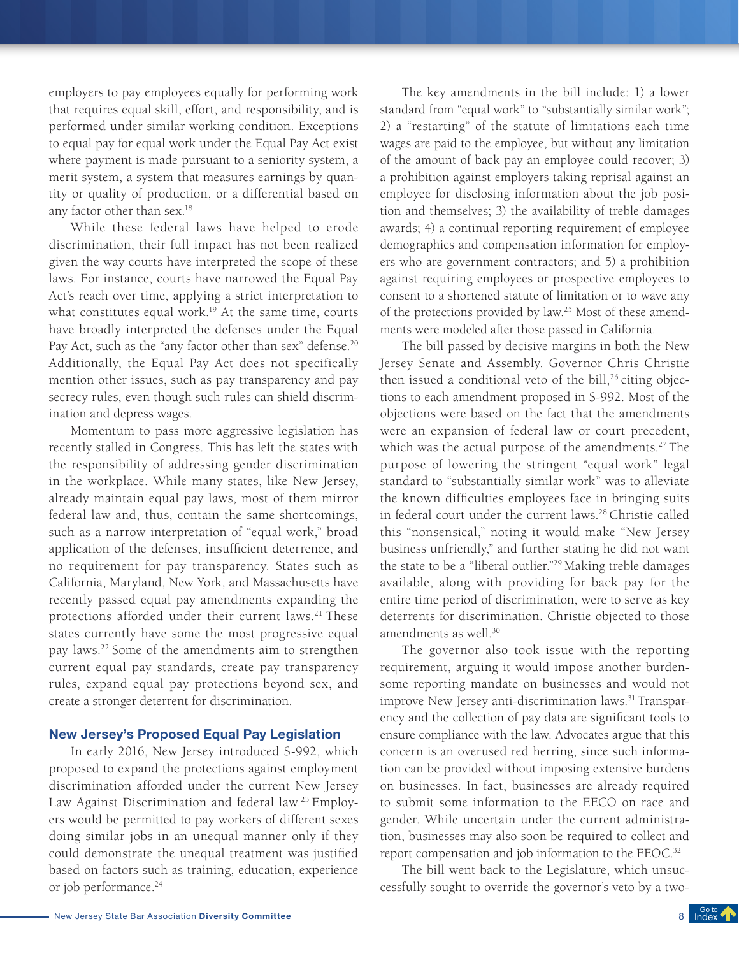employers to pay employees equally for performing work that requires equal skill, effort, and responsibility, and is performed under similar working condition. Exceptions to equal pay for equal work under the Equal Pay Act exist where payment is made pursuant to a seniority system, a merit system, a system that measures earnings by quantity or quality of production, or a differential based on any factor other than sex.18

While these federal laws have helped to erode discrimination, their full impact has not been realized given the way courts have interpreted the scope of these laws. For instance, courts have narrowed the Equal Pay Act's reach over time, applying a strict interpretation to what constitutes equal work.<sup>19</sup> At the same time, courts have broadly interpreted the defenses under the Equal Pay Act, such as the "any factor other than sex" defense.<sup>20</sup> Additionally, the Equal Pay Act does not specifically mention other issues, such as pay transparency and pay secrecy rules, even though such rules can shield discrimination and depress wages.

Momentum to pass more aggressive legislation has recently stalled in Congress. This has left the states with the responsibility of addressing gender discrimination in the workplace. While many states, like New Jersey, already maintain equal pay laws, most of them mirror federal law and, thus, contain the same shortcomings, such as a narrow interpretation of "equal work," broad application of the defenses, insufficient deterrence, and no requirement for pay transparency. States such as California, Maryland, New York, and Massachusetts have recently passed equal pay amendments expanding the protections afforded under their current laws.<sup>21</sup> These states currently have some the most progressive equal pay laws.22 Some of the amendments aim to strengthen current equal pay standards, create pay transparency rules, expand equal pay protections beyond sex, and create a stronger deterrent for discrimination.

### New Jersey's Proposed Equal Pay Legislation

In early 2016, New Jersey introduced S-992, which proposed to expand the protections against employment discrimination afforded under the current New Jersey Law Against Discrimination and federal law.<sup>23</sup> Employers would be permitted to pay workers of different sexes doing similar jobs in an unequal manner only if they could demonstrate the unequal treatment was justified based on factors such as training, education, experience or job performance.<sup>24</sup>

The key amendments in the bill include: 1) a lower standard from "equal work" to "substantially similar work"; 2) a "restarting" of the statute of limitations each time wages are paid to the employee, but without any limitation of the amount of back pay an employee could recover; 3) a prohibition against employers taking reprisal against an employee for disclosing information about the job position and themselves; 3) the availability of treble damages awards; 4) a continual reporting requirement of employee demographics and compensation information for employers who are government contractors; and 5) a prohibition against requiring employees or prospective employees to consent to a shortened statute of limitation or to wave any of the protections provided by law.25 Most of these amendments were modeled after those passed in California.

The bill passed by decisive margins in both the New Jersey Senate and Assembly. Governor Chris Christie then issued a conditional veto of the bill,<sup>26</sup> citing objections to each amendment proposed in S-992. Most of the objections were based on the fact that the amendments were an expansion of federal law or court precedent, which was the actual purpose of the amendments.<sup>27</sup> The purpose of lowering the stringent "equal work" legal standard to "substantially similar work" was to alleviate the known difficulties employees face in bringing suits in federal court under the current laws.<sup>28</sup> Christie called this "nonsensical," noting it would make "New Jersey business unfriendly," and further stating he did not want the state to be a "liberal outlier."29 Making treble damages available, along with providing for back pay for the entire time period of discrimination, were to serve as key deterrents for discrimination. Christie objected to those amendments as well.30

The governor also took issue with the reporting requirement, arguing it would impose another burdensome reporting mandate on businesses and would not improve New Jersey anti-discrimination laws.<sup>31</sup> Transparency and the collection of pay data are significant tools to ensure compliance with the law. Advocates argue that this concern is an overused red herring, since such information can be provided without imposing extensive burdens on businesses. In fact, businesses are already required to submit some information to the EECO on race and gender. While uncertain under the current administration, businesses may also soon be required to collect and report compensation and job information to the EEOC.32

The bill went back to the Legislature, which unsuccessfully sought to override the governor's veto by a two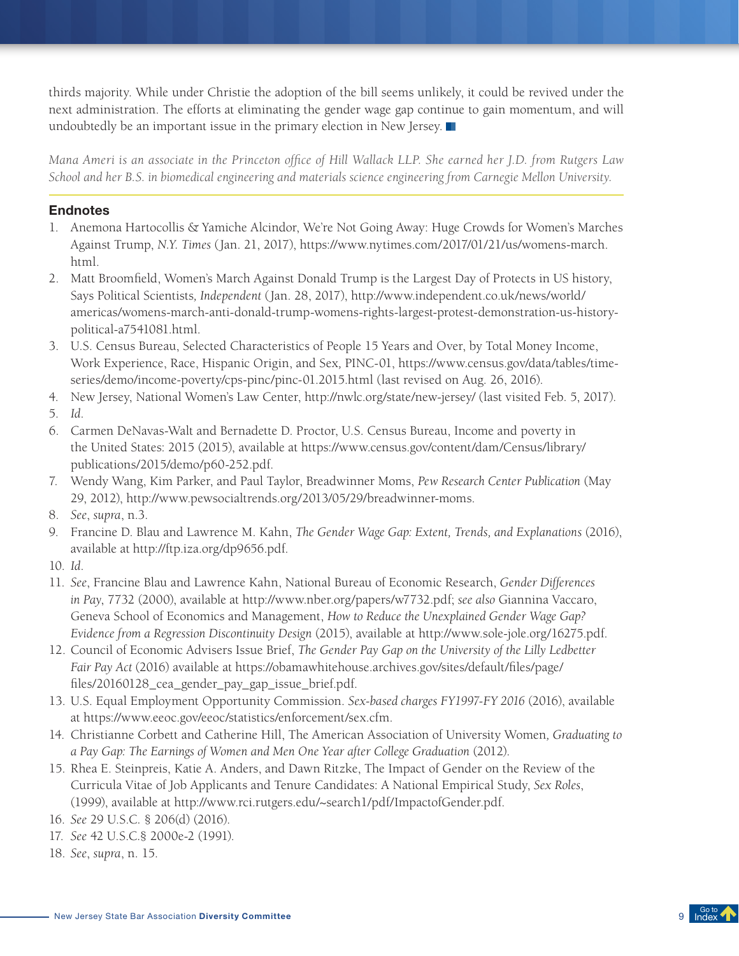thirds majority. While under Christie the adoption of the bill seems unlikely, it could be revived under the next administration. The efforts at eliminating the gender wage gap continue to gain momentum, and will undoubtedly be an important issue in the primary election in New Jersey.  $\blacksquare$ 

*Mana Ameri is an associate in the Princeton office of Hill Wallack LLP. She earned her J.D. from Rutgers Law School and her B.S. in biomedical engineering and materials science engineering from Carnegie Mellon University.* 

### **Endnotes**

- 1. Anemona Hartocollis & Yamiche Alcindor, We're Not Going Away: Huge Crowds for Women's Marches Against Trump, *N.Y. Times* (Jan. 21, 2017), https://www.nytimes.com/2017/01/21/us/womens-march. html.
- 2. Matt Broomfield, Women's March Against Donald Trump is the Largest Day of Protects in US history, Says Political Scientists*, Independent* (Jan. 28, 2017), http://www.independent.co.uk/news/world/ americas/womens-march-anti-donald-trump-womens-rights-largest-protest-demonstration-us-historypolitical-a7541081.html.
- 3. U.S. Census Bureau, Selected Characteristics of People 15 Years and Over, by Total Money Income, Work Experience, Race, Hispanic Origin, and Sex*,* PINC-01, https://www.census.gov/data/tables/timeseries/demo/income-poverty/cps-pinc/pinc-01.2015.html (last revised on Aug. 26, 2016).
- 4. New Jersey, National Women's Law Center, http://nwlc.org/state/new-jersey/ (last visited Feb. 5, 2017).
- 5. *Id*.
- 6. Carmen DeNavas-Walt and Bernadette D. Proctor, U.S. Census Bureau, Income and poverty in the United States: 2015 (2015), available at https://www.census.gov/content/dam/Census/library/ publications/2015/demo/p60-252.pdf.
- 7. Wendy Wang, Kim Parker, and Paul Taylor, Breadwinner Moms, *Pew Research Center Publication* (May 29, 2012), http://www.pewsocialtrends.org/2013/05/29/breadwinner-moms.
- 8. *See*, *supra*, n.3.
- 9. Francine D. Blau and Lawrence M. Kahn, *The Gender Wage Gap: Extent, Trends, and Explanations* (2016), available at http://ftp.iza.org/dp9656.pdf.
- 10. *Id*.
- 11. *See*, Francine Blau and Lawrence Kahn, National Bureau of Economic Research, *Gender Differences in Pay*, 7732 (2000), available at http://www.nber.org/papers/w7732.pdf; *see also* Giannina Vaccaro, Geneva School of Economics and Management, *How to Reduce the Unexplained Gender Wage Gap? Evidence from a Regression Discontinuity Design* (2015), available at http://www.sole-jole.org/16275.pdf.
- 12. Council of Economic Advisers Issue Brief, *The Gender Pay Gap on the University of the Lilly Ledbetter Fair Pay Act* (2016) available at https://obamawhitehouse.archives.gov/sites/default/files/page/ files/20160128\_cea\_gender\_pay\_gap\_issue\_brief.pdf.
- 13. U.S. Equal Employment Opportunity Commission. *Sex-based charges FY1997-FY 2016* (2016), available at https://www.eeoc.gov/eeoc/statistics/enforcement/sex.cfm.
- 14. Christianne Corbett and Catherine Hill, The American Association of University Women*, Graduating to a Pay Gap: The Earnings of Women and Men One Year after College Graduation* (2012).
- 15. Rhea E. Steinpreis, Katie A. Anders, and Dawn Ritzke, The Impact of Gender on the Review of the Curricula Vitae of Job Applicants and Tenure Candidates: A National Empirical Study, *Sex Roles*, (1999), available at http://www.rci.rutgers.edu/~search1/pdf/ImpactofGender.pdf.
- 16. *See* 29 U.S.C*.* § 206(d) (2016).
- 17. *See* 42 U.S.C*.*§ 2000e-2 (1991).
- 18. *See*, *supra*, n. 15.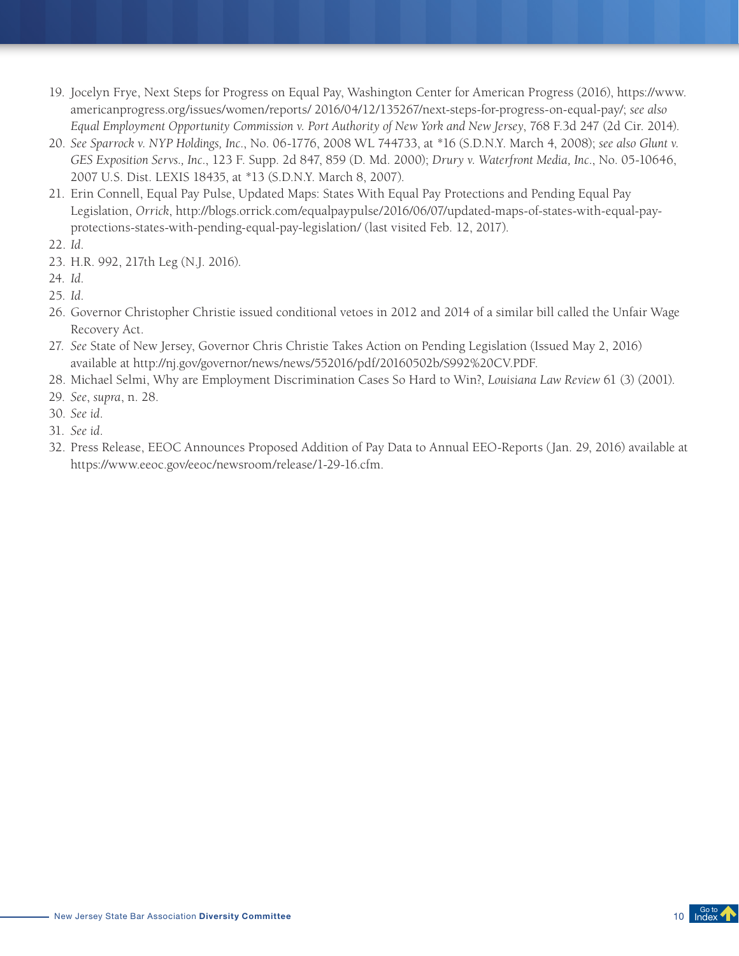- 19. Jocelyn Frye, Next Steps for Progress on Equal Pay, Washington Center for American Progress (2016), https://www. americanprogress.org/issues/women/reports/ 2016/04/12/135267/next-steps-for-progress-on-equal-pay/; *see also Equal Employment Opportunity Commission v. Port Authority of New York and New Jersey*, 768 F.3d 247 (2d Cir. 2014).
- 20. *See Sparrock v. NYP Holdings, Inc*., No. 06-1776, 2008 WL 744733, at \*16 (S.D.N.Y. March 4, 2008); *see also Glunt v. GES Exposition Servs., Inc*., 123 F. Supp. 2d 847, 859 (D. Md. 2000); *Drury v. Waterfront Media, Inc*., No. 05-10646, 2007 U.S. Dist. LEXIS 18435, at \*13 (S.D.N.Y. March 8, 2007).
- 21. Erin Connell, Equal Pay Pulse, Updated Maps: States With Equal Pay Protections and Pending Equal Pay Legislation, *Orrick*, http://blogs.orrick.com/equalpaypulse/2016/06/07/updated-maps-of-states-with-equal-payprotections-states-with-pending-equal-pay-legislation/ (last visited Feb. 12, 2017).
- 22. *Id*.
- 23. H.R. 992, 217th Leg (N.J. 2016).
- 24. *Id*.
- 25. *Id*.
- 26. Governor Christopher Christie issued conditional vetoes in 2012 and 2014 of a similar bill called the Unfair Wage Recovery Act.
- 27. *See* State of New Jersey, Governor Chris Christie Takes Action on Pending Legislation (Issued May 2, 2016) available at http://nj.gov/governor/news/news/552016/pdf/20160502b/S992%20CV.PDF.
- 28. Michael Selmi, Why are Employment Discrimination Cases So Hard to Win?, *Louisiana Law Review* 61 (3) (2001).
- 29. *See*, *supra*, n. 28.
- 30. *See id*.
- 31. *See id*.
- 32. Press Release, EEOC Announces Proposed Addition of Pay Data to Annual EEO-Reports (Jan. 29, 2016) available at https://www.eeoc.gov/eeoc/newsroom/release/1-29-16.cfm.

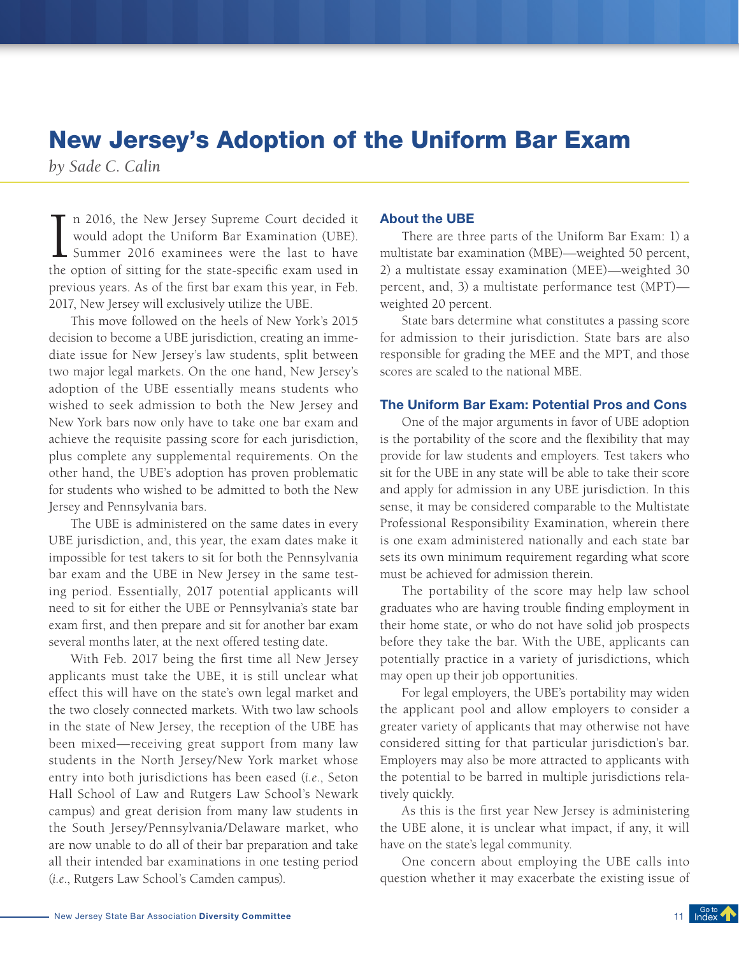### <span id="page-10-0"></span>New Jersey's Adoption of the Uniform Bar Exam

*by Sade C. Calin* 

In 2016, the New Jersey Supreme Court decided it would adopt the Uniform Bar Examination (UBE).<br>Summer 2016 examinees were the last to have the option of sitting for the state-specific exam used in n 2016, the New Jersey Supreme Court decided it would adopt the Uniform Bar Examination (UBE). Summer 2016 examinees were the last to have previous years. As of the first bar exam this year, in Feb. 2017, New Jersey will exclusively utilize the UBE.

This move followed on the heels of New York's 2015 decision to become a UBE jurisdiction, creating an immediate issue for New Jersey's law students, split between two major legal markets. On the one hand, New Jersey's adoption of the UBE essentially means students who wished to seek admission to both the New Jersey and New York bars now only have to take one bar exam and achieve the requisite passing score for each jurisdiction, plus complete any supplemental requirements. On the other hand, the UBE's adoption has proven problematic for students who wished to be admitted to both the New Jersey and Pennsylvania bars.

The UBE is administered on the same dates in every UBE jurisdiction, and, this year, the exam dates make it impossible for test takers to sit for both the Pennsylvania bar exam and the UBE in New Jersey in the same testing period. Essentially, 2017 potential applicants will need to sit for either the UBE or Pennsylvania's state bar exam first, and then prepare and sit for another bar exam several months later, at the next offered testing date.

With Feb. 2017 being the first time all New Jersey applicants must take the UBE, it is still unclear what effect this will have on the state's own legal market and the two closely connected markets. With two law schools in the state of New Jersey, the reception of the UBE has been mixed—receiving great support from many law students in the North Jersey/New York market whose entry into both jurisdictions has been eased (*i.e*., Seton Hall School of Law and Rutgers Law School's Newark campus) and great derision from many law students in the South Jersey/Pennsylvania/Delaware market, who are now unable to do all of their bar preparation and take all their intended bar examinations in one testing period (*i.e*., Rutgers Law School's Camden campus).

### About the UBE

There are three parts of the Uniform Bar Exam: 1) a multistate bar examination (MBE)—weighted 50 percent, 2) a multistate essay examination (MEE)—weighted 30 percent, and, 3) a multistate performance test (MPT) weighted 20 percent.

State bars determine what constitutes a passing score for admission to their jurisdiction. State bars are also responsible for grading the MEE and the MPT, and those scores are scaled to the national MBE.

### The Uniform Bar Exam: Potential Pros and Cons

One of the major arguments in favor of UBE adoption is the portability of the score and the flexibility that may provide for law students and employers. Test takers who sit for the UBE in any state will be able to take their score and apply for admission in any UBE jurisdiction. In this sense, it may be considered comparable to the Multistate Professional Responsibility Examination, wherein there is one exam administered nationally and each state bar sets its own minimum requirement regarding what score must be achieved for admission therein.

The portability of the score may help law school graduates who are having trouble finding employment in their home state, or who do not have solid job prospects before they take the bar. With the UBE, applicants can potentially practice in a variety of jurisdictions, which may open up their job opportunities.

For legal employers, the UBE's portability may widen the applicant pool and allow employers to consider a greater variety of applicants that may otherwise not have considered sitting for that particular jurisdiction's bar. Employers may also be more attracted to applicants with the potential to be barred in multiple jurisdictions relatively quickly.

As this is the first year New Jersey is administering the UBE alone, it is unclear what impact, if any, it will have on the state's legal community.

One concern about employing the UBE calls into question whether it may exacerbate the existing issue of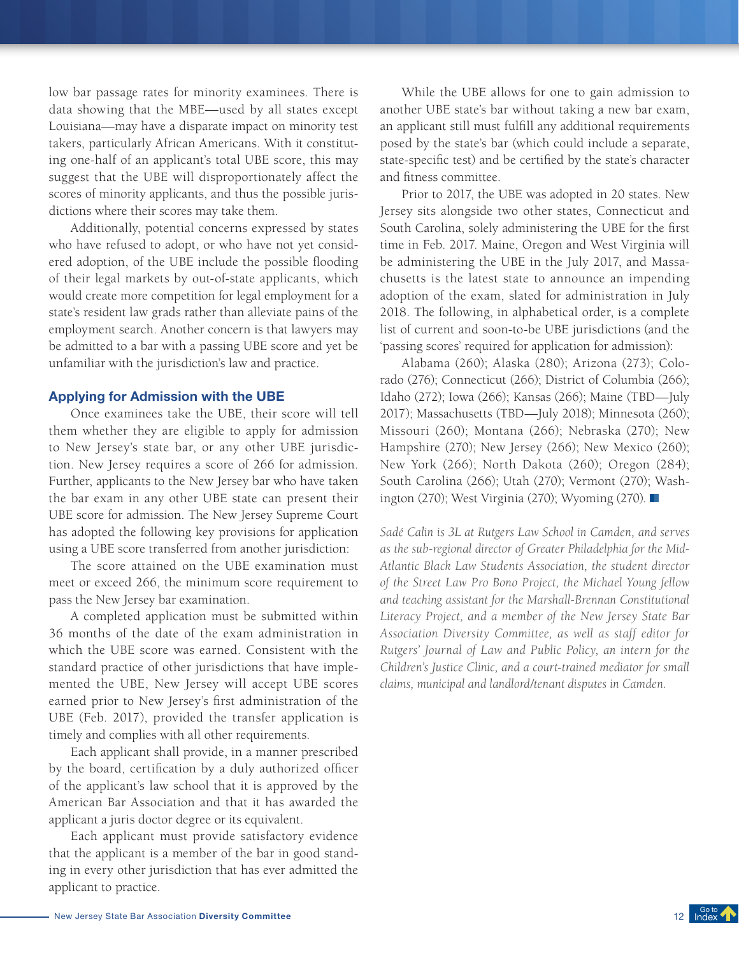low bar passage rates for minority examinees. There is data showing that the MBE—used by all states except Louisiana—may have a disparate impact on minority test takers, particularly African Americans. With it constituting one-half of an applicant's total UBE score, this may suggest that the UBE will disproportionately affect the scores of minority applicants, and thus the possible jurisdictions where their scores may take them.

Additionally, potential concerns expressed by states who have refused to adopt, or who have not yet considered adoption, of the UBE include the possible flooding of their legal markets by out-of-state applicants, which would create more competition for legal employment for a state's resident law grads rather than alleviate pains of the employment search. Another concern is that lawyers may be admitted to a bar with a passing UBE score and yet be unfamiliar with the jurisdiction's law and practice.

### Applying for Admission with the UBE

Once examinees take the UBE, their score will tell them whether they are eligible to apply for admission to New Jersey's state bar, or any other UBE jurisdiction. New Jersey requires a score of 266 for admission. Further, applicants to the New Jersey bar who have taken the bar exam in any other UBE state can present their UBE score for admission. The New Jersey Supreme Court has adopted the following key provisions for application using a UBE score transferred from another jurisdiction:

The score attained on the UBE examination must meet or exceed 266, the minimum score requirement to pass the New Jersey bar examination.

A completed application must be submitted within 36 months of the date of the exam administration in which the UBE score was earned. Consistent with the standard practice of other jurisdictions that have implemented the UBE, New Jersey will accept UBE scores earned prior to New Jersey's first administration of the UBE (Feb. 2017), provided the transfer application is timely and complies with all other requirements.

Each applicant shall provide, in a manner prescribed by the board, certification by a duly authorized officer of the applicant's law school that it is approved by the American Bar Association and that it has awarded the applicant a juris doctor degree or its equivalent.

Each applicant must provide satisfactory evidence that the applicant is a member of the bar in good standing in every other jurisdiction that has ever admitted the applicant to practice.

While the UBE allows for one to gain admission to another UBE state's bar without taking a new bar exam, an applicant still must fulfill any additional requirements posed by the state's bar (which could include a separate, state-specific test) and be certified by the state's character and fitness committee.

Prior to 2017, the UBE was adopted in 20 states. New Jersey sits alongside two other states, Connecticut and South Carolina, solely administering the UBE for the first time in Feb. 2017. Maine, Oregon and West Virginia will be administering the UBE in the July 2017, and Massachusetts is the latest state to announce an impending adoption of the exam, slated for administration in July 2018. The following, in alphabetical order, is a complete list of current and soon-to-be UBE jurisdictions (and the 'passing scores' required for application for admission):

Alabama (260); Alaska (280); Arizona (273); Colorado (276); Connecticut (266); District of Columbia (266); Idaho (272); Iowa (266); Kansas (266); Maine (TBD—July 2017); Massachusetts (TBD—July 2018); Minnesota (260); Missouri (260); Montana (266); Nebraska (270); New Hampshire (270); New Jersey (266); New Mexico (260); New York (266); North Dakota (260); Oregon (284); South Carolina (266); Utah (270); Vermont (270); Washington (270); West Virginia (270); Wyoming (270).

*Sadé Calin is 3L at Rutgers Law School in Camden, and serves as the sub-regional director of Greater Philadelphia for the Mid-Atlantic Black Law Students Association, the student director of the Street Law Pro Bono Project, the Michael Young fellow and teaching assistant for the Marshall-Brennan Constitutional Literacy Project, and a member of the New Jersey State Bar Association Diversity Committee, as well as staff editor for Rutgers' Journal of Law and Public Policy, an intern for the Children's Justice Clinic, and a court-trained mediator for small claims, municipal and landlord/tenant disputes in Camden.* 

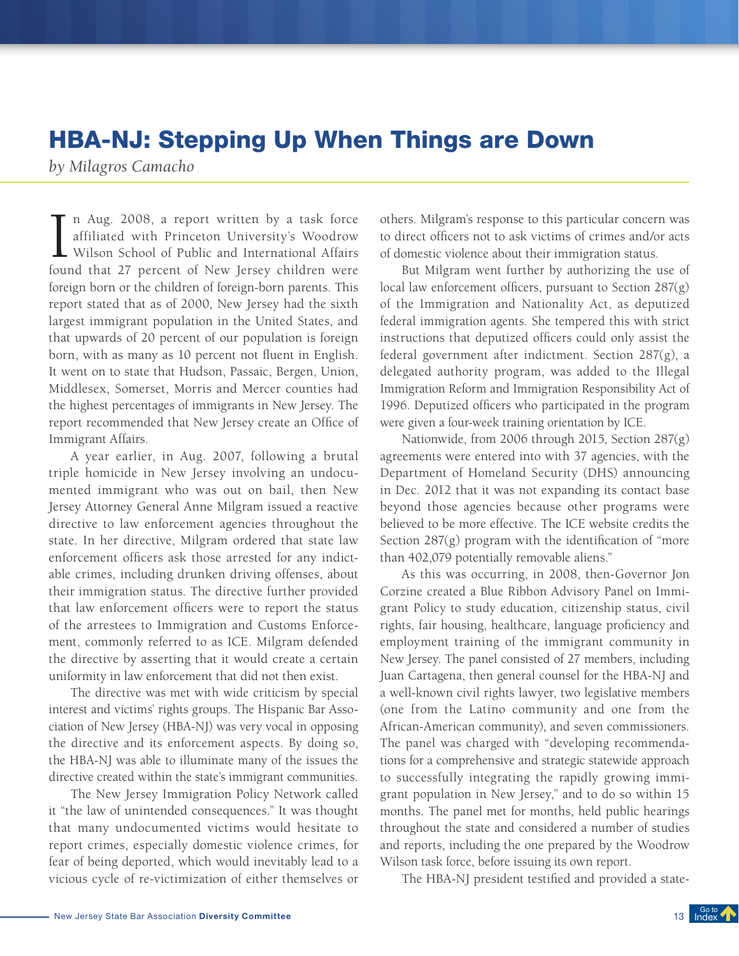### <span id="page-12-0"></span>HBA-NJ: Stepping Up When Things are Down

*by Milagros Camacho*

In Aug. 2008, a report written by a task force affiliated with Princeton University's Woodrow<br>Wilson School of Public and International Affairs<br>found that 27 percent of New Jersey children were n Aug. 2008, a report written by a task force affiliated with Princeton University's Woodrow Wilson School of Public and International Affairs foreign born or the children of foreign-born parents. This report stated that as of 2000, New Jersey had the sixth largest immigrant population in the United States, and that upwards of 20 percent of our population is foreign born, with as many as 10 percent not fluent in English. It went on to state that Hudson, Passaic, Bergen, Union, Middlesex, Somerset, Morris and Mercer counties had the highest percentages of immigrants in New Jersey. The report recommended that New Jersey create an Office of Immigrant Affairs.

A year earlier, in Aug. 2007, following a brutal triple homicide in New Jersey involving an undocumented immigrant who was out on bail, then New Jersey Attorney General Anne Milgram issued a reactive directive to law enforcement agencies throughout the state. In her directive, Milgram ordered that state law enforcement officers ask those arrested for any indictable crimes, including drunken driving offenses, about their immigration status. The directive further provided that law enforcement officers were to report the status of the arrestees to Immigration and Customs Enforcement, commonly referred to as ICE. Milgram defended the directive by asserting that it would create a certain uniformity in law enforcement that did not then exist.

The directive was met with wide criticism by special interest and victims' rights groups. The Hispanic Bar Association of New Jersey (HBA-NJ) was very vocal in opposing the directive and its enforcement aspects. By doing so, the HBA-NJ was able to illuminate many of the issues the directive created within the state's immigrant communities.

The New Jersey Immigration Policy Network called it "the law of unintended consequences." It was thought that many undocumented victims would hesitate to report crimes, especially domestic violence crimes, for fear of being deported, which would inevitably lead to a vicious cycle of re-victimization of either themselves or

others. Milgram's response to this particular concern was to direct officers not to ask victims of crimes and/or acts of domestic violence about their immigration status.

But Milgram went further by authorizing the use of local law enforcement officers, pursuant to Section 287(g) of the Immigration and Nationality Act, as deputized federal immigration agents. She tempered this with strict instructions that deputized officers could only assist the federal government after indictment. Section 287(g), a delegated authority program, was added to the Illegal Immigration Reform and Immigration Responsibility Act of 1996. Deputized officers who participated in the program were given a four-week training orientation by ICE.

Nationwide, from 2006 through 2015, Section 287(g) agreements were entered into with 37 agencies, with the Department of Homeland Security (DHS) announcing in Dec. 2012 that it was not expanding its contact base beyond those agencies because other programs were believed to be more effective. The ICE website credits the Section  $287(g)$  program with the identification of "more" than 402,079 potentially removable aliens."

As this was occurring, in 2008, then-Governor Jon Corzine created a Blue Ribbon Advisory Panel on Immigrant Policy to study education, citizenship status, civil rights, fair housing, healthcare, language proficiency and employment training of the immigrant community in New Jersey. The panel consisted of 27 members, including Juan Cartagena, then general counsel for the HBA-NJ and a well-known civil rights lawyer, two legislative members (one from the Latino community and one from the African-American community), and seven commissioners. The panel was charged with "developing recommendations for a comprehensive and strategic statewide approach to successfully integrating the rapidly growing immigrant population in New Jersey," and to do so within 15 months. The panel met for months, held public hearings throughout the state and considered a number of studies and reports, including the one prepared by the Woodrow Wilson task force, before issuing its own report.

The HBA-NJ president testified and provided a state-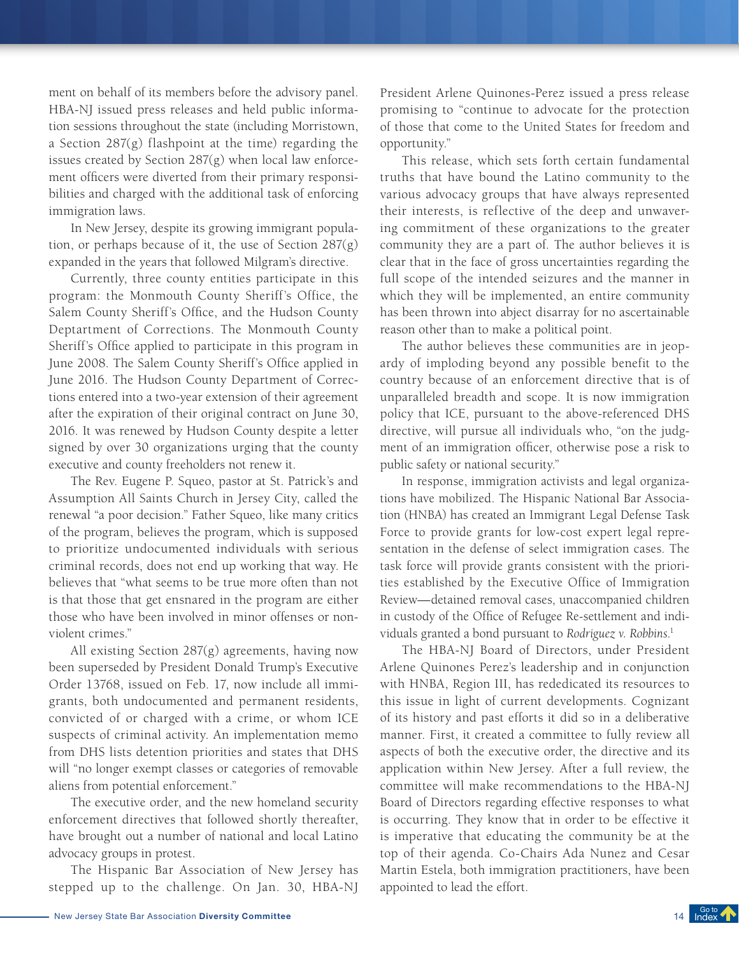ment on behalf of its members before the advisory panel. HBA-NJ issued press releases and held public information sessions throughout the state (including Morristown, a Section 287(g) flashpoint at the time) regarding the issues created by Section 287(g) when local law enforcement officers were diverted from their primary responsibilities and charged with the additional task of enforcing immigration laws.

In New Jersey, despite its growing immigrant population, or perhaps because of it, the use of Section  $287(g)$ expanded in the years that followed Milgram's directive.

Currently, three county entities participate in this program: the Monmouth County Sheriff's Office, the Salem County Sheriff's Office, and the Hudson County Deptartment of Corrections. The Monmouth County Sheriff's Office applied to participate in this program in June 2008. The Salem County Sheriff's Office applied in June 2016. The Hudson County Department of Corrections entered into a two-year extension of their agreement after the expiration of their original contract on June 30, 2016. It was renewed by Hudson County despite a letter signed by over 30 organizations urging that the county executive and county freeholders not renew it.

The Rev. Eugene P. Squeo, pastor at St. Patrick's and Assumption All Saints Church in Jersey City, called the renewal "a poor decision." Father Squeo, like many critics of the program, believes the program, which is supposed to prioritize undocumented individuals with serious criminal records, does not end up working that way. He believes that "what seems to be true more often than not is that those that get ensnared in the program are either those who have been involved in minor offenses or nonviolent crimes."

All existing Section 287(g) agreements, having now been superseded by President Donald Trump's Executive Order 13768, issued on Feb. 17, now include all immigrants, both undocumented and permanent residents, convicted of or charged with a crime, or whom ICE suspects of criminal activity. An implementation memo from DHS lists detention priorities and states that DHS will "no longer exempt classes or categories of removable aliens from potential enforcement."

The executive order, and the new homeland security enforcement directives that followed shortly thereafter, have brought out a number of national and local Latino advocacy groups in protest.

The Hispanic Bar Association of New Jersey has stepped up to the challenge. On Jan. 30, HBA-NJ President Arlene Quinones-Perez issued a press release promising to "continue to advocate for the protection of those that come to the United States for freedom and opportunity."

This release, which sets forth certain fundamental truths that have bound the Latino community to the various advocacy groups that have always represented their interests, is reflective of the deep and unwavering commitment of these organizations to the greater community they are a part of. The author believes it is clear that in the face of gross uncertainties regarding the full scope of the intended seizures and the manner in which they will be implemented, an entire community has been thrown into abject disarray for no ascertainable reason other than to make a political point.

The author believes these communities are in jeopardy of imploding beyond any possible benefit to the country because of an enforcement directive that is of unparalleled breadth and scope. It is now immigration policy that ICE, pursuant to the above-referenced DHS directive, will pursue all individuals who, "on the judgment of an immigration officer, otherwise pose a risk to public safety or national security."

In response, immigration activists and legal organizations have mobilized. The Hispanic National Bar Association (HNBA) has created an Immigrant Legal Defense Task Force to provide grants for low-cost expert legal representation in the defense of select immigration cases. The task force will provide grants consistent with the priorities established by the Executive Office of Immigration Review—detained removal cases, unaccompanied children in custody of the Office of Refugee Re-settlement and individuals granted a bond pursuant to *Rodriguez v. Robbins*. 1

The HBA-NJ Board of Directors, under President Arlene Quinones Perez's leadership and in conjunction with HNBA, Region III, has rededicated its resources to this issue in light of current developments. Cognizant of its history and past efforts it did so in a deliberative manner. First, it created a committee to fully review all aspects of both the executive order, the directive and its application within New Jersey. After a full review, the committee will make recommendations to the HBA-NJ Board of Directors regarding effective responses to what is occurring. They know that in order to be effective it is imperative that educating the community be at the top of their agenda. Co-Chairs Ada Nunez and Cesar Martin Estela, both immigration practitioners, have been appointed to lead the effort.

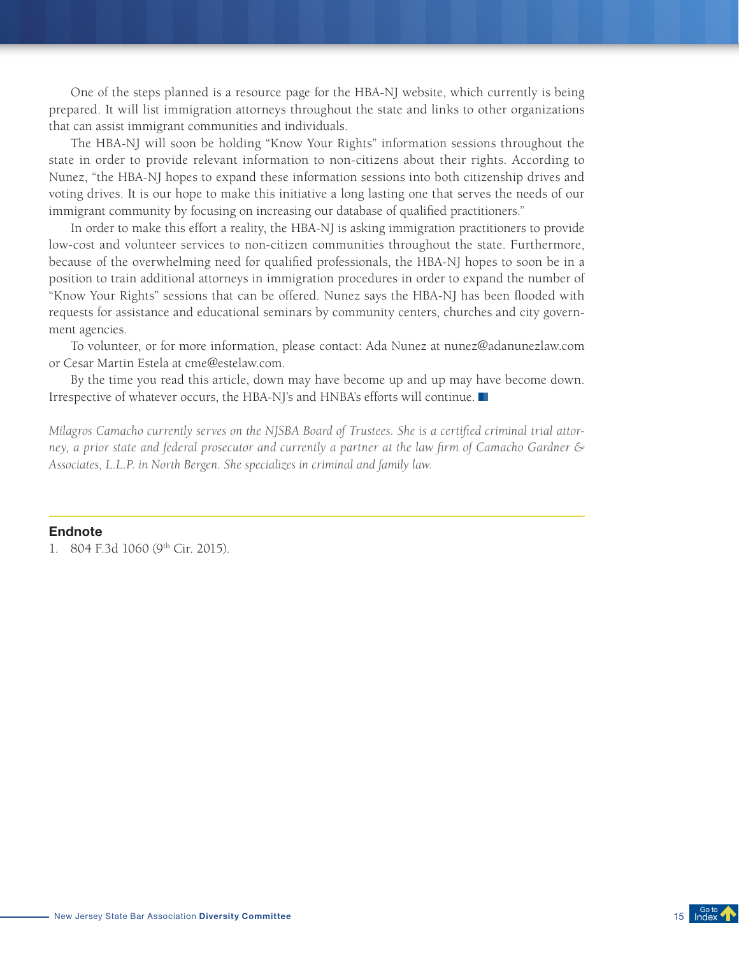One of the steps planned is a resource page for the HBA-NJ website, which currently is being prepared. It will list immigration attorneys throughout the state and links to other organizations that can assist immigrant communities and individuals.

The HBA-NJ will soon be holding "Know Your Rights" information sessions throughout the state in order to provide relevant information to non-citizens about their rights. According to Nunez, "the HBA-NJ hopes to expand these information sessions into both citizenship drives and voting drives. It is our hope to make this initiative a long lasting one that serves the needs of our immigrant community by focusing on increasing our database of qualified practitioners."

In order to make this effort a reality, the HBA-NJ is asking immigration practitioners to provide low-cost and volunteer services to non-citizen communities throughout the state. Furthermore, because of the overwhelming need for qualified professionals, the HBA-NJ hopes to soon be in a position to train additional attorneys in immigration procedures in order to expand the number of "Know Your Rights" sessions that can be offered. Nunez says the HBA-NJ has been flooded with requests for assistance and educational seminars by community centers, churches and city government agencies.

To volunteer, or for more information, please contact: Ada Nunez at nunez@adanunezlaw.com or Cesar Martin Estela at [cme@estelaw.com.](mailto:cme@estelaw.com)

By the time you read this article, down may have become up and up may have become down. Irrespective of whatever occurs, the HBA-NJ's and HNBA's efforts will continue.

*Milagros Camacho currently serves on the NJSBA Board of Trustees. She is a certified criminal trial attorney, a prior state and federal prosecutor and currently a partner at the law firm of Camacho Gardner & Associates, L.L.P. in North Bergen. She specializes in criminal and family law.* 

### Endnote

1. 804 F.3d 1060 (9th Cir. 2015).

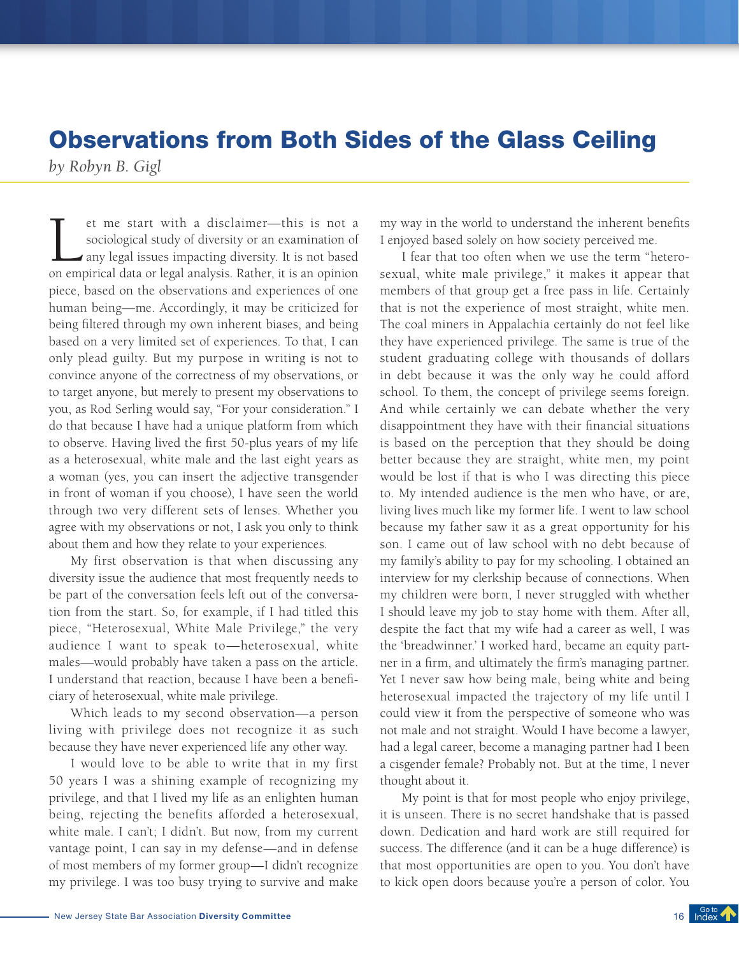### <span id="page-15-0"></span>Observations from Both Sides of the Glass Ceiling

*by Robyn B. Gigl*

et me start with a disclaimer—this is not a<br>sociological study of diversity or an examination of<br>any legal issues impacting diversity. It is not based<br>on empirical data or legal analysis. Rather, it is an opinion sociological study of diversity or an examination of any legal issues impacting diversity. It is not based on empirical data or legal analysis. Rather, it is an opinion piece, based on the observations and experiences of one human being—me. Accordingly, it may be criticized for being filtered through my own inherent biases, and being based on a very limited set of experiences. To that, I can only plead guilty. But my purpose in writing is not to convince anyone of the correctness of my observations, or to target anyone, but merely to present my observations to you, as Rod Serling would say, "For your consideration." I do that because I have had a unique platform from which to observe. Having lived the first 50-plus years of my life as a heterosexual, white male and the last eight years as a woman (yes, you can insert the adjective transgender in front of woman if you choose), I have seen the world through two very different sets of lenses. Whether you agree with my observations or not, I ask you only to think about them and how they relate to your experiences.

My first observation is that when discussing any diversity issue the audience that most frequently needs to be part of the conversation feels left out of the conversation from the start. So, for example, if I had titled this piece, "Heterosexual, White Male Privilege," the very audience I want to speak to—heterosexual, white males—would probably have taken a pass on the article. I understand that reaction, because I have been a beneficiary of heterosexual, white male privilege.

Which leads to my second observation—a person living with privilege does not recognize it as such because they have never experienced life any other way.

I would love to be able to write that in my first 50 years I was a shining example of recognizing my privilege, and that I lived my life as an enlighten human being, rejecting the benefits afforded a heterosexual, white male. I can't; I didn't. But now, from my current vantage point, I can say in my defense—and in defense of most members of my former group—I didn't recognize my privilege. I was too busy trying to survive and make

my way in the world to understand the inherent benefits I enjoyed based solely on how society perceived me.

I fear that too often when we use the term "heterosexual, white male privilege," it makes it appear that members of that group get a free pass in life. Certainly that is not the experience of most straight, white men. The coal miners in Appalachia certainly do not feel like they have experienced privilege. The same is true of the student graduating college with thousands of dollars in debt because it was the only way he could afford school. To them, the concept of privilege seems foreign. And while certainly we can debate whether the very disappointment they have with their financial situations is based on the perception that they should be doing better because they are straight, white men, my point would be lost if that is who I was directing this piece to. My intended audience is the men who have, or are, living lives much like my former life. I went to law school because my father saw it as a great opportunity for his son. I came out of law school with no debt because of my family's ability to pay for my schooling. I obtained an interview for my clerkship because of connections. When my children were born, I never struggled with whether I should leave my job to stay home with them. After all, despite the fact that my wife had a career as well, I was the 'breadwinner.' I worked hard, became an equity partner in a firm, and ultimately the firm's managing partner. Yet I never saw how being male, being white and being heterosexual impacted the trajectory of my life until I could view it from the perspective of someone who was not male and not straight. Would I have become a lawyer, had a legal career, become a managing partner had I been a cisgender female? Probably not. But at the time, I never thought about it.

My point is that for most people who enjoy privilege, it is unseen. There is no secret handshake that is passed down. Dedication and hard work are still required for success. The difference (and it can be a huge difference) is that most opportunities are open to you. You don't have to kick open doors because you're a person of color. You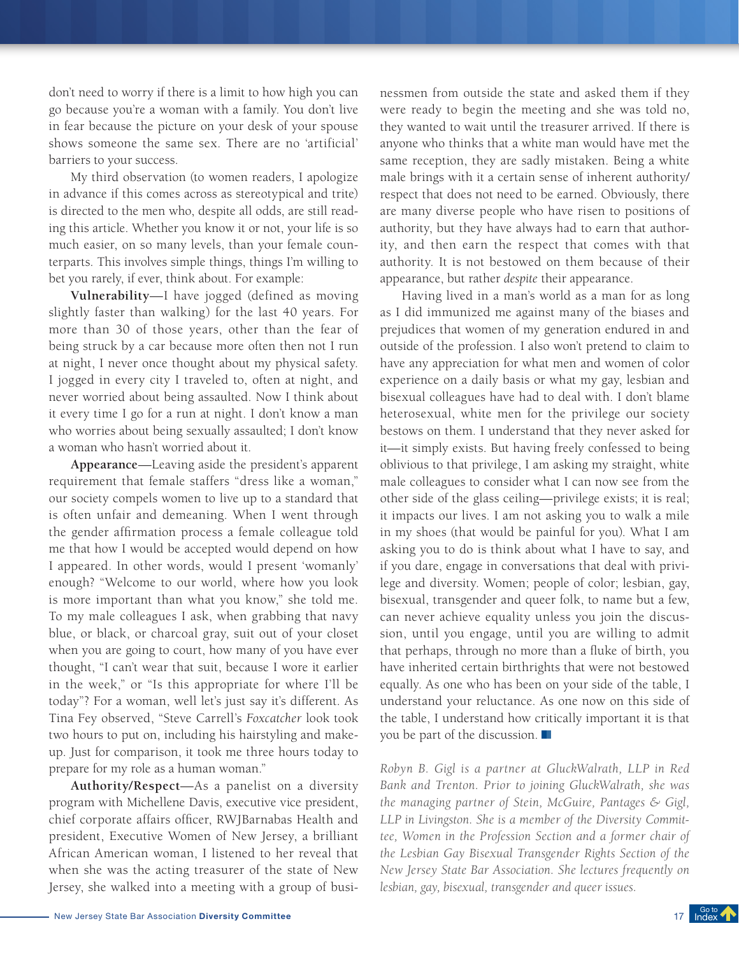don't need to worry if there is a limit to how high you can go because you're a woman with a family. You don't live in fear because the picture on your desk of your spouse shows someone the same sex. There are no 'artificial' barriers to your success.

My third observation (to women readers, I apologize in advance if this comes across as stereotypical and trite) is directed to the men who, despite all odds, are still reading this article. Whether you know it or not, your life is so much easier, on so many levels, than your female counterparts. This involves simple things, things I'm willing to bet you rarely, if ever, think about. For example:

**Vulnerability**—I have jogged (defined as moving slightly faster than walking) for the last 40 years. For more than 30 of those years, other than the fear of being struck by a car because more often then not I run at night, I never once thought about my physical safety. I jogged in every city I traveled to, often at night, and never worried about being assaulted. Now I think about it every time I go for a run at night. I don't know a man who worries about being sexually assaulted; I don't know a woman who hasn't worried about it.

**Appearance**—Leaving aside the president's apparent requirement that female staffers "dress like a woman," our society compels women to live up to a standard that is often unfair and demeaning. When I went through the gender affirmation process a female colleague told me that how I would be accepted would depend on how I appeared. In other words, would I present 'womanly' enough? "Welcome to our world, where how you look is more important than what you know," she told me. To my male colleagues I ask, when grabbing that navy blue, or black, or charcoal gray, suit out of your closet when you are going to court, how many of you have ever thought, "I can't wear that suit, because I wore it earlier in the week," or "Is this appropriate for where I'll be today"? For a woman, well let's just say it's different. As Tina Fey observed, "Steve Carrell's *Foxcatcher* look took two hours to put on, including his hairstyling and makeup. Just for comparison, it took me three hours today to prepare for my role as a human woman."

**Authority/Respect**—As a panelist on a diversity program with Michellene Davis, executive vice president, chief corporate affairs officer, RWJBarnabas Health and president, Executive Women of New Jersey, a brilliant African American woman, I listened to her reveal that when she was the acting treasurer of the state of New Jersey, she walked into a meeting with a group of businessmen from outside the state and asked them if they were ready to begin the meeting and she was told no, they wanted to wait until the treasurer arrived. If there is anyone who thinks that a white man would have met the same reception, they are sadly mistaken. Being a white male brings with it a certain sense of inherent authority/ respect that does not need to be earned. Obviously, there are many diverse people who have risen to positions of authority, but they have always had to earn that authority, and then earn the respect that comes with that authority. It is not bestowed on them because of their appearance, but rather *despite* their appearance.

Having lived in a man's world as a man for as long as I did immunized me against many of the biases and prejudices that women of my generation endured in and outside of the profession. I also won't pretend to claim to have any appreciation for what men and women of color experience on a daily basis or what my gay, lesbian and bisexual colleagues have had to deal with. I don't blame heterosexual, white men for the privilege our society bestows on them. I understand that they never asked for it—it simply exists. But having freely confessed to being oblivious to that privilege, I am asking my straight, white male colleagues to consider what I can now see from the other side of the glass ceiling—privilege exists; it is real; it impacts our lives. I am not asking you to walk a mile in my shoes (that would be painful for you). What I am asking you to do is think about what I have to say, and if you dare, engage in conversations that deal with privilege and diversity. Women; people of color; lesbian, gay, bisexual, transgender and queer folk, to name but a few, can never achieve equality unless you join the discussion, until you engage, until you are willing to admit that perhaps, through no more than a fluke of birth, you have inherited certain birthrights that were not bestowed equally. As one who has been on your side of the table, I understand your reluctance. As one now on this side of the table, I understand how critically important it is that you be part of the discussion.

*Robyn B. Gigl is a partner at GluckWalrath, LLP in Red Bank and Trenton. Prior to joining GluckWalrath, she was the managing partner of Stein, McGuire, Pantages & Gigl, LLP in Livingston. She is a member of the Diversity Committee, Women in the Profession Section and a former chair of the Lesbian Gay Bisexual Transgender Rights Section of the New Jersey State Bar Association. She lectures frequently on lesbian, gay, bisexual, transgender and queer issues.*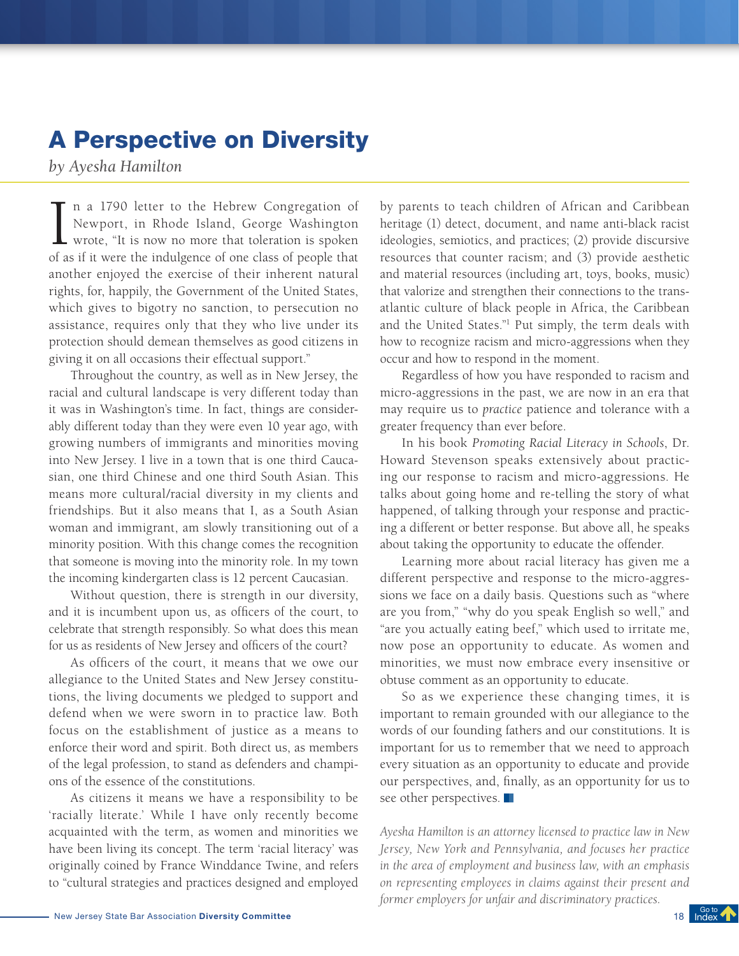### <span id="page-17-0"></span>A Perspective on Diversity

*by Ayesha Hamilton*

 $\prod_{\text{of a}}$ n a 1790 letter to the Hebrew Congregation of Newport, in Rhode Island, George Washington wrote, "It is now no more that toleration is spoken of as if it were the indulgence of one class of people that another enjoyed the exercise of their inherent natural rights, for, happily, the Government of the United States, which gives to bigotry no sanction, to persecution no assistance, requires only that they who live under its protection should demean themselves as good citizens in giving it on all occasions their effectual support."

Throughout the country, as well as in New Jersey, the racial and cultural landscape is very different today than it was in Washington's time. In fact, things are considerably different today than they were even 10 year ago, with growing numbers of immigrants and minorities moving into New Jersey. I live in a town that is one third Caucasian, one third Chinese and one third South Asian. This means more cultural/racial diversity in my clients and friendships. But it also means that I, as a South Asian woman and immigrant, am slowly transitioning out of a minority position. With this change comes the recognition that someone is moving into the minority role. In my town the incoming kindergarten class is 12 percent Caucasian.

Without question, there is strength in our diversity, and it is incumbent upon us, as officers of the court, to celebrate that strength responsibly. So what does this mean for us as residents of New Jersey and officers of the court?

As officers of the court, it means that we owe our allegiance to the United States and New Jersey constitutions, the living documents we pledged to support and defend when we were sworn in to practice law. Both focus on the establishment of justice as a means to enforce their word and spirit. Both direct us, as members of the legal profession, to stand as defenders and champions of the essence of the constitutions.

As citizens it means we have a responsibility to be 'racially literate.' While I have only recently become acquainted with the term, as women and minorities we have been living its concept. The term 'racial literacy' was originally coined by France Winddance Twine, and refers to "cultural strategies and practices designed and employed

by parents to teach children of African and Caribbean heritage (1) detect, document, and name anti-black racist ideologies, semiotics, and practices; (2) provide discursive resources that counter racism; and (3) provide aesthetic and material resources (including art, toys, books, music) that valorize and strengthen their connections to the transatlantic culture of black people in Africa, the Caribbean and the United States."1 Put simply, the term deals with how to recognize racism and micro-aggressions when they occur and how to respond in the moment.

Regardless of how you have responded to racism and micro-aggressions in the past, we are now in an era that may require us to *practice* patience and tolerance with a greater frequency than ever before.

In his book *Promoting Racial Literacy in Schools*, Dr. Howard Stevenson speaks extensively about practicing our response to racism and micro-aggressions. He talks about going home and re-telling the story of what happened, of talking through your response and practicing a different or better response. But above all, he speaks about taking the opportunity to educate the offender.

Learning more about racial literacy has given me a different perspective and response to the micro-aggressions we face on a daily basis. Questions such as "where are you from," "why do you speak English so well," and "are you actually eating beef," which used to irritate me, now pose an opportunity to educate. As women and minorities, we must now embrace every insensitive or obtuse comment as an opportunity to educate.

So as we experience these changing times, it is important to remain grounded with our allegiance to the words of our founding fathers and our constitutions. It is important for us to remember that we need to approach every situation as an opportunity to educate and provide our perspectives, and, finally, as an opportunity for us to see other perspectives.

*Ayesha Hamilton is an attorney licensed to practice law in New Jersey, New York and Pennsylvania, and focuses her practice in the area of employment and business law, with an emphasis on representing employees in claims against their present and former employers for unfair and discriminatory practices.*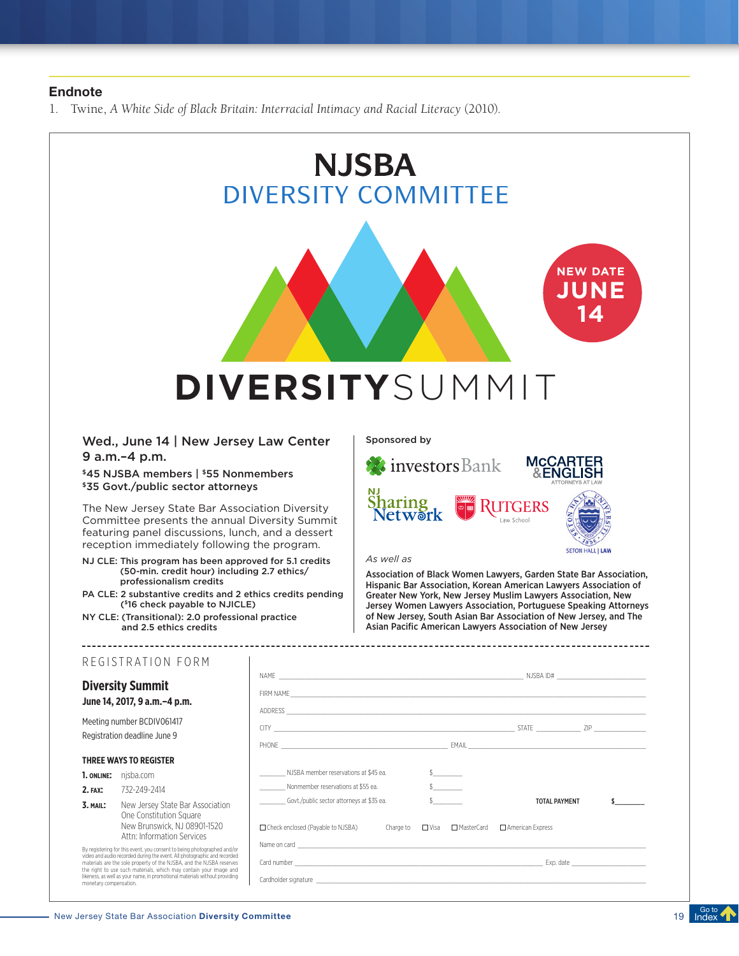#### Endnote

1. Twine, *A White Side of Black Britain: Interracial Intimacy and Racial Literacy* (2010).



Cardholder signature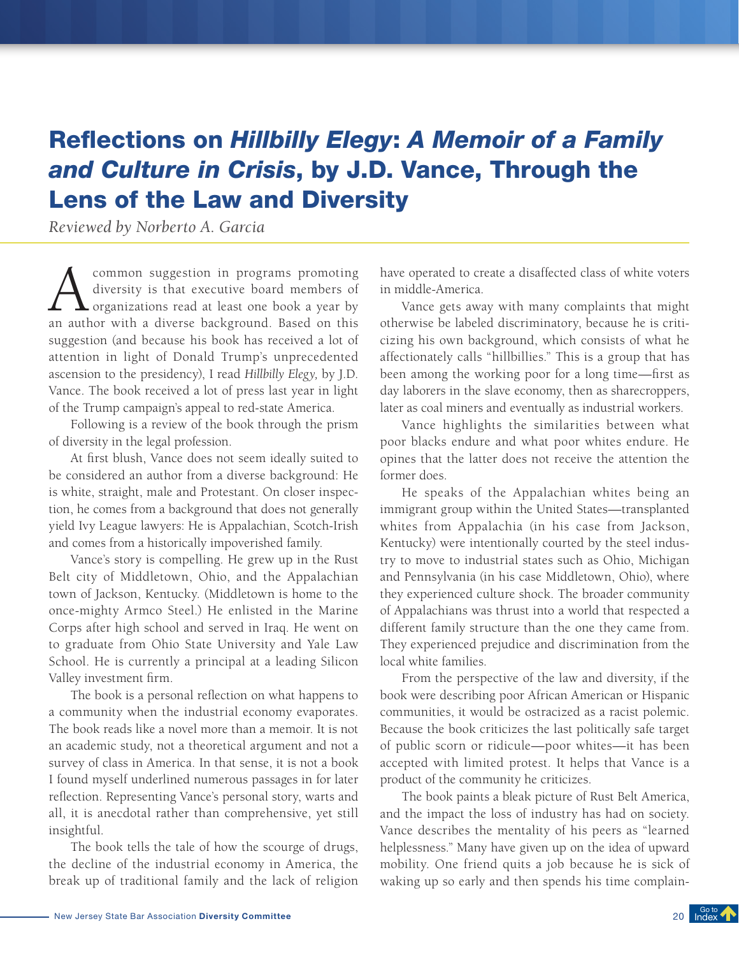# <span id="page-19-0"></span>Reflections on *Hillbilly Elegy*: *A Memoir of a Family and Culture in Crisis*, by J.D. Vance, Through the Lens of the Law and Diversity

*Reviewed by Norberto A. Garcia*

A common suggestion in programs promoting<br>diversity is that executive board members of<br>organizations read at least one book a year by<br>an author with a diverse background. Based on this diversity is that executive board members of  $\blacktriangle$  organizations read at least one book a year by an author with a diverse background. Based on this suggestion (and because his book has received a lot of attention in light of Donald Trump's unprecedented ascension to the presidency), I read *Hillbilly Elegy,* by J.D. Vance. The book received a lot of press last year in light of the Trump campaign's appeal to red-state America.

Following is a review of the book through the prism of diversity in the legal profession.

At first blush, Vance does not seem ideally suited to be considered an author from a diverse background: He is white, straight, male and Protestant. On closer inspection, he comes from a background that does not generally yield Ivy League lawyers: He is Appalachian, Scotch-Irish and comes from a historically impoverished family.

Vance's story is compelling. He grew up in the Rust Belt city of Middletown, Ohio, and the Appalachian town of Jackson, Kentucky. (Middletown is home to the once-mighty Armco Steel.) He enlisted in the Marine Corps after high school and served in Iraq. He went on to graduate from Ohio State University and Yale Law School. He is currently a principal at a leading Silicon Valley investment firm.

The book is a personal reflection on what happens to a community when the industrial economy evaporates. The book reads like a novel more than a memoir. It is not an academic study, not a theoretical argument and not a survey of class in America. In that sense, it is not a book I found myself underlined numerous passages in for later reflection. Representing Vance's personal story, warts and all, it is anecdotal rather than comprehensive, yet still insightful.

The book tells the tale of how the scourge of drugs, the decline of the industrial economy in America, the break up of traditional family and the lack of religion have operated to create a disaffected class of white voters in middle-America.

Vance gets away with many complaints that might otherwise be labeled discriminatory, because he is criticizing his own background, which consists of what he affectionately calls "hillbillies." This is a group that has been among the working poor for a long time—first as day laborers in the slave economy, then as sharecroppers, later as coal miners and eventually as industrial workers.

Vance highlights the similarities between what poor blacks endure and what poor whites endure. He opines that the latter does not receive the attention the former does.

He speaks of the Appalachian whites being an immigrant group within the United States—transplanted whites from Appalachia (in his case from Jackson, Kentucky) were intentionally courted by the steel industry to move to industrial states such as Ohio, Michigan and Pennsylvania (in his case Middletown, Ohio), where they experienced culture shock. The broader community of Appalachians was thrust into a world that respected a different family structure than the one they came from. They experienced prejudice and discrimination from the local white families.

From the perspective of the law and diversity, if the book were describing poor African American or Hispanic communities, it would be ostracized as a racist polemic. Because the book criticizes the last politically safe target of public scorn or ridicule—poor whites—it has been accepted with limited protest. It helps that Vance is a product of the community he criticizes.

The book paints a bleak picture of Rust Belt America, and the impact the loss of industry has had on society. Vance describes the mentality of his peers as "learned helplessness." Many have given up on the idea of upward mobility. One friend quits a job because he is sick of waking up so early and then spends his time complain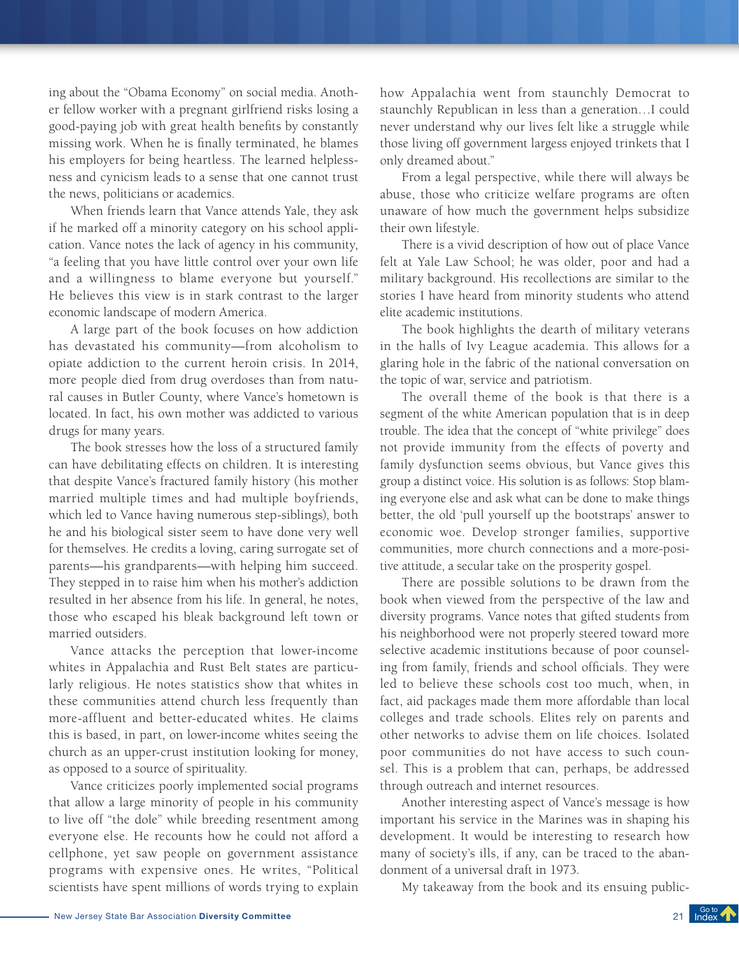ing about the "Obama Economy" on social media. Another fellow worker with a pregnant girlfriend risks losing a good-paying job with great health benefits by constantly missing work. When he is finally terminated, he blames his employers for being heartless. The learned helplessness and cynicism leads to a sense that one cannot trust the news, politicians or academics.

When friends learn that Vance attends Yale, they ask if he marked off a minority category on his school application. Vance notes the lack of agency in his community, "a feeling that you have little control over your own life and a willingness to blame everyone but yourself." He believes this view is in stark contrast to the larger economic landscape of modern America.

A large part of the book focuses on how addiction has devastated his community—from alcoholism to opiate addiction to the current heroin crisis. In 2014, more people died from drug overdoses than from natural causes in Butler County, where Vance's hometown is located. In fact, his own mother was addicted to various drugs for many years.

The book stresses how the loss of a structured family can have debilitating effects on children. It is interesting that despite Vance's fractured family history (his mother married multiple times and had multiple boyfriends, which led to Vance having numerous step-siblings), both he and his biological sister seem to have done very well for themselves. He credits a loving, caring surrogate set of parents—his grandparents—with helping him succeed. They stepped in to raise him when his mother's addiction resulted in her absence from his life. In general, he notes, those who escaped his bleak background left town or married outsiders.

Vance attacks the perception that lower-income whites in Appalachia and Rust Belt states are particularly religious. He notes statistics show that whites in these communities attend church less frequently than more-affluent and better-educated whites. He claims this is based, in part, on lower-income whites seeing the church as an upper-crust institution looking for money, as opposed to a source of spirituality.

Vance criticizes poorly implemented social programs that allow a large minority of people in his community to live off "the dole" while breeding resentment among everyone else. He recounts how he could not afford a cellphone, yet saw people on government assistance programs with expensive ones. He writes, "Political scientists have spent millions of words trying to explain how Appalachia went from staunchly Democrat to staunchly Republican in less than a generation…I could never understand why our lives felt like a struggle while those living off government largess enjoyed trinkets that I only dreamed about."

From a legal perspective, while there will always be abuse, those who criticize welfare programs are often unaware of how much the government helps subsidize their own lifestyle.

There is a vivid description of how out of place Vance felt at Yale Law School; he was older, poor and had a military background. His recollections are similar to the stories I have heard from minority students who attend elite academic institutions.

The book highlights the dearth of military veterans in the halls of Ivy League academia. This allows for a glaring hole in the fabric of the national conversation on the topic of war, service and patriotism.

The overall theme of the book is that there is a segment of the white American population that is in deep trouble. The idea that the concept of "white privilege" does not provide immunity from the effects of poverty and family dysfunction seems obvious, but Vance gives this group a distinct voice. His solution is as follows: Stop blaming everyone else and ask what can be done to make things better, the old 'pull yourself up the bootstraps' answer to economic woe. Develop stronger families, supportive communities, more church connections and a more-positive attitude, a secular take on the prosperity gospel.

There are possible solutions to be drawn from the book when viewed from the perspective of the law and diversity programs. Vance notes that gifted students from his neighborhood were not properly steered toward more selective academic institutions because of poor counseling from family, friends and school officials. They were led to believe these schools cost too much, when, in fact, aid packages made them more affordable than local colleges and trade schools. Elites rely on parents and other networks to advise them on life choices. Isolated poor communities do not have access to such counsel. This is a problem that can, perhaps, be addressed through outreach and internet resources.

Another interesting aspect of Vance's message is how important his service in the Marines was in shaping his development. It would be interesting to research how many of society's ills, if any, can be traced to the abandonment of a universal draft in 1973.

My takeaway from the book and its ensuing public-

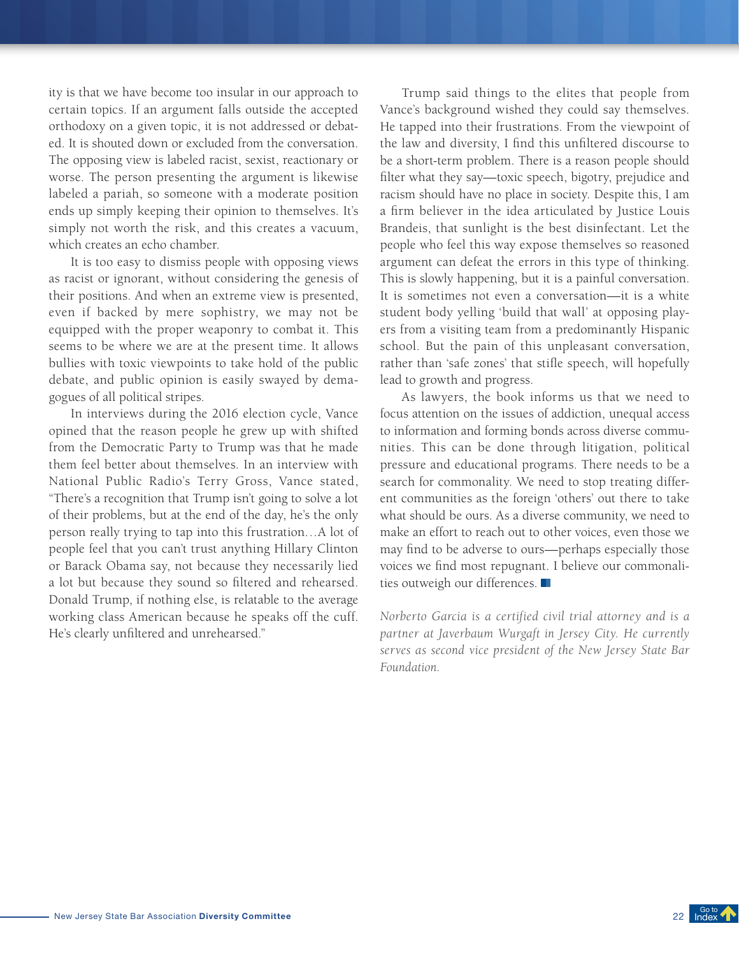ity is that we have become too insular in our approach to certain topics. If an argument falls outside the accepted orthodoxy on a given topic, it is not addressed or debated. It is shouted down or excluded from the conversation. The opposing view is labeled racist, sexist, reactionary or worse. The person presenting the argument is likewise labeled a pariah, so someone with a moderate position ends up simply keeping their opinion to themselves. It's simply not worth the risk, and this creates a vacuum, which creates an echo chamber.

It is too easy to dismiss people with opposing views as racist or ignorant, without considering the genesis of their positions. And when an extreme view is presented, even if backed by mere sophistry, we may not be equipped with the proper weaponry to combat it. This seems to be where we are at the present time. It allows bullies with toxic viewpoints to take hold of the public debate, and public opinion is easily swayed by demagogues of all political stripes.

In interviews during the 2016 election cycle, Vance opined that the reason people he grew up with shifted from the Democratic Party to Trump was that he made them feel better about themselves. In an interview with National Public Radio's Terry Gross, Vance stated, "There's a recognition that Trump isn't going to solve a lot of their problems, but at the end of the day, he's the only person really trying to tap into this frustration…A lot of people feel that you can't trust anything Hillary Clinton or Barack Obama say, not because they necessarily lied a lot but because they sound so filtered and rehearsed. Donald Trump, if nothing else, is relatable to the average working class American because he speaks off the cuff. He's clearly unfiltered and unrehearsed."

Trump said things to the elites that people from Vance's background wished they could say themselves. He tapped into their frustrations. From the viewpoint of the law and diversity, I find this unfiltered discourse to be a short-term problem. There is a reason people should filter what they say—toxic speech, bigotry, prejudice and racism should have no place in society. Despite this, I am a firm believer in the idea articulated by Justice Louis Brandeis, that sunlight is the best disinfectant. Let the people who feel this way expose themselves so reasoned argument can defeat the errors in this type of thinking. This is slowly happening, but it is a painful conversation. It is sometimes not even a conversation—it is a white student body yelling 'build that wall' at opposing players from a visiting team from a predominantly Hispanic school. But the pain of this unpleasant conversation, rather than 'safe zones' that stifle speech, will hopefully lead to growth and progress.

As lawyers, the book informs us that we need to focus attention on the issues of addiction, unequal access to information and forming bonds across diverse communities. This can be done through litigation, political pressure and educational programs. There needs to be a search for commonality. We need to stop treating different communities as the foreign 'others' out there to take what should be ours. As a diverse community, we need to make an effort to reach out to other voices, even those we may find to be adverse to ours—perhaps especially those voices we find most repugnant. I believe our commonalities outweigh our differences.

*Norberto Garcia is a certified civil trial attorney and is a partner at Javerbaum Wurgaft in Jersey City. He currently serves as second vice president of the New Jersey State Bar Foundation.* 

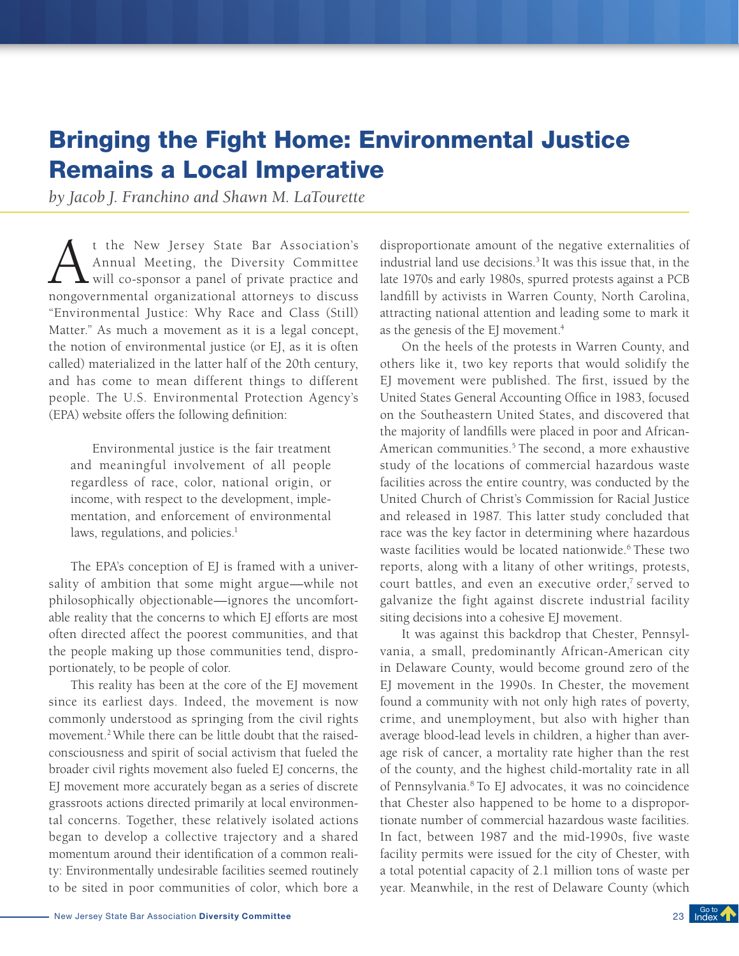# <span id="page-22-0"></span>Bringing the Fight Home: Environmental Justice Remains a Local Imperative

*by Jacob J. Franchino and Shawn M. LaTourette*

At the New Jersey State Bar Association's<br>Annual Meeting, the Diversity Committee<br>will co-sponsor a panel of private practice and<br>nongovernmental organizational attorneys to discuss Annual Meeting, the Diversity Committee will co-sponsor a panel of private practice and nongovernmental organizational attorneys to discuss "Environmental Justice: Why Race and Class (Still) Matter." As much a movement as it is a legal concept, the notion of environmental justice (or EJ, as it is often called) materialized in the latter half of the 20th century, and has come to mean different things to different people. The U.S. Environmental Protection Agency's (EPA) website offers the following definition:

Environmental justice is the fair treatment and meaningful involvement of all people regardless of race, color, national origin, or income, with respect to the development, implementation, and enforcement of environmental laws, regulations, and policies.<sup>1</sup>

The EPA's conception of EJ is framed with a universality of ambition that some might argue—while not philosophically objectionable—ignores the uncomfortable reality that the concerns to which EJ efforts are most often directed affect the poorest communities, and that the people making up those communities tend, disproportionately, to be people of color.

This reality has been at the core of the EJ movement since its earliest days. Indeed, the movement is now commonly understood as springing from the civil rights movement.2 While there can be little doubt that the raisedconsciousness and spirit of social activism that fueled the broader civil rights movement also fueled EJ concerns, the EJ movement more accurately began as a series of discrete grassroots actions directed primarily at local environmental concerns. Together, these relatively isolated actions began to develop a collective trajectory and a shared momentum around their identification of a common reality: Environmentally undesirable facilities seemed routinely to be sited in poor communities of color, which bore a

disproportionate amount of the negative externalities of industrial land use decisions.<sup>3</sup> It was this issue that, in the late 1970s and early 1980s, spurred protests against a PCB landfill by activists in Warren County, North Carolina, attracting national attention and leading some to mark it as the genesis of the EJ movement.4

On the heels of the protests in Warren County, and others like it, two key reports that would solidify the EJ movement were published. The first, issued by the United States General Accounting Office in 1983, focused on the Southeastern United States, and discovered that the majority of landfills were placed in poor and African-American communities.<sup>5</sup> The second, a more exhaustive study of the locations of commercial hazardous waste facilities across the entire country, was conducted by the United Church of Christ's Commission for Racial Justice and released in 1987. This latter study concluded that race was the key factor in determining where hazardous waste facilities would be located nationwide.<sup>6</sup> These two reports, along with a litany of other writings, protests, court battles, and even an executive order,<sup>7</sup> served to galvanize the fight against discrete industrial facility siting decisions into a cohesive EJ movement.

It was against this backdrop that Chester, Pennsylvania, a small, predominantly African-American city in Delaware County, would become ground zero of the EJ movement in the 1990s. In Chester, the movement found a community with not only high rates of poverty, crime, and unemployment, but also with higher than average blood-lead levels in children, a higher than average risk of cancer, a mortality rate higher than the rest of the county, and the highest child-mortality rate in all of Pennsylvania.8 To EJ advocates, it was no coincidence that Chester also happened to be home to a disproportionate number of commercial hazardous waste facilities. In fact, between 1987 and the mid-1990s, five waste facility permits were issued for the city of Chester, with a total potential capacity of 2.1 million tons of waste per year. Meanwhile, in the rest of Delaware County (which

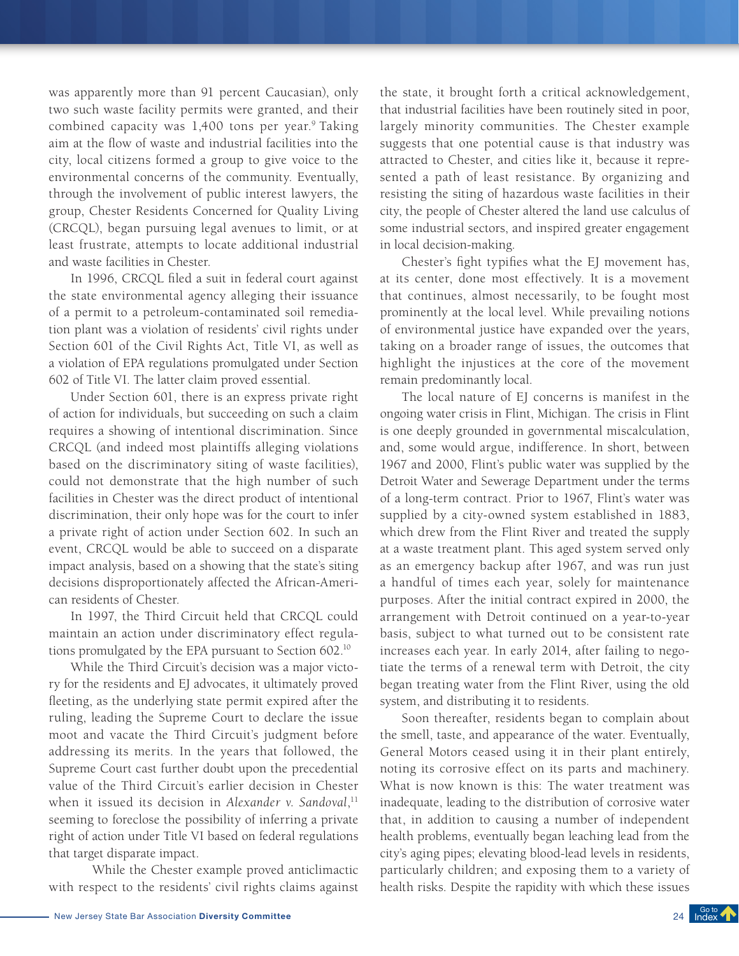was apparently more than 91 percent Caucasian), only two such waste facility permits were granted, and their combined capacity was  $1,400$  tons per year.<sup>9</sup> Taking aim at the flow of waste and industrial facilities into the city, local citizens formed a group to give voice to the environmental concerns of the community. Eventually, through the involvement of public interest lawyers, the group, Chester Residents Concerned for Quality Living (CRCQL), began pursuing legal avenues to limit, or at least frustrate, attempts to locate additional industrial and waste facilities in Chester.

In 1996, CRCQL filed a suit in federal court against the state environmental agency alleging their issuance of a permit to a petroleum-contaminated soil remediation plant was a violation of residents' civil rights under Section 601 of the Civil Rights Act, Title VI, as well as a violation of EPA regulations promulgated under Section 602 of Title VI. The latter claim proved essential.

Under Section 601, there is an express private right of action for individuals, but succeeding on such a claim requires a showing of intentional discrimination. Since CRCQL (and indeed most plaintiffs alleging violations based on the discriminatory siting of waste facilities), could not demonstrate that the high number of such facilities in Chester was the direct product of intentional discrimination, their only hope was for the court to infer a private right of action under Section 602. In such an event, CRCQL would be able to succeed on a disparate impact analysis, based on a showing that the state's siting decisions disproportionately affected the African-American residents of Chester.

In 1997, the Third Circuit held that CRCQL could maintain an action under discriminatory effect regulations promulgated by the EPA pursuant to Section 602.10

While the Third Circuit's decision was a major victory for the residents and EJ advocates, it ultimately proved fleeting, as the underlying state permit expired after the ruling, leading the Supreme Court to declare the issue moot and vacate the Third Circuit's judgment before addressing its merits. In the years that followed, the Supreme Court cast further doubt upon the precedential value of the Third Circuit's earlier decision in Chester when it issued its decision in *Alexander v. Sandoval*, 11 seeming to foreclose the possibility of inferring a private right of action under Title VI based on federal regulations that target disparate impact.

While the Chester example proved anticlimactic with respect to the residents' civil rights claims against the state, it brought forth a critical acknowledgement, that industrial facilities have been routinely sited in poor, largely minority communities. The Chester example suggests that one potential cause is that industry was attracted to Chester, and cities like it, because it represented a path of least resistance. By organizing and resisting the siting of hazardous waste facilities in their city, the people of Chester altered the land use calculus of some industrial sectors, and inspired greater engagement in local decision-making.

Chester's fight typifies what the EJ movement has, at its center, done most effectively. It is a movement that continues, almost necessarily, to be fought most prominently at the local level. While prevailing notions of environmental justice have expanded over the years, taking on a broader range of issues, the outcomes that highlight the injustices at the core of the movement remain predominantly local.

The local nature of EJ concerns is manifest in the ongoing water crisis in Flint, Michigan. The crisis in Flint is one deeply grounded in governmental miscalculation, and, some would argue, indifference. In short, between 1967 and 2000, Flint's public water was supplied by the Detroit Water and Sewerage Department under the terms of a long-term contract. Prior to 1967, Flint's water was supplied by a city-owned system established in 1883, which drew from the Flint River and treated the supply at a waste treatment plant. This aged system served only as an emergency backup after 1967, and was run just a handful of times each year, solely for maintenance purposes. After the initial contract expired in 2000, the arrangement with Detroit continued on a year-to-year basis, subject to what turned out to be consistent rate increases each year. In early 2014, after failing to negotiate the terms of a renewal term with Detroit, the city began treating water from the Flint River, using the old system, and distributing it to residents.

Soon thereafter, residents began to complain about the smell, taste, and appearance of the water. Eventually, General Motors ceased using it in their plant entirely, noting its corrosive effect on its parts and machinery. What is now known is this: The water treatment was inadequate, leading to the distribution of corrosive water that, in addition to causing a number of independent health problems, eventually began leaching lead from the city's aging pipes; elevating blood-lead levels in residents, particularly children; and exposing them to a variety of health risks. Despite the rapidity with which these issues

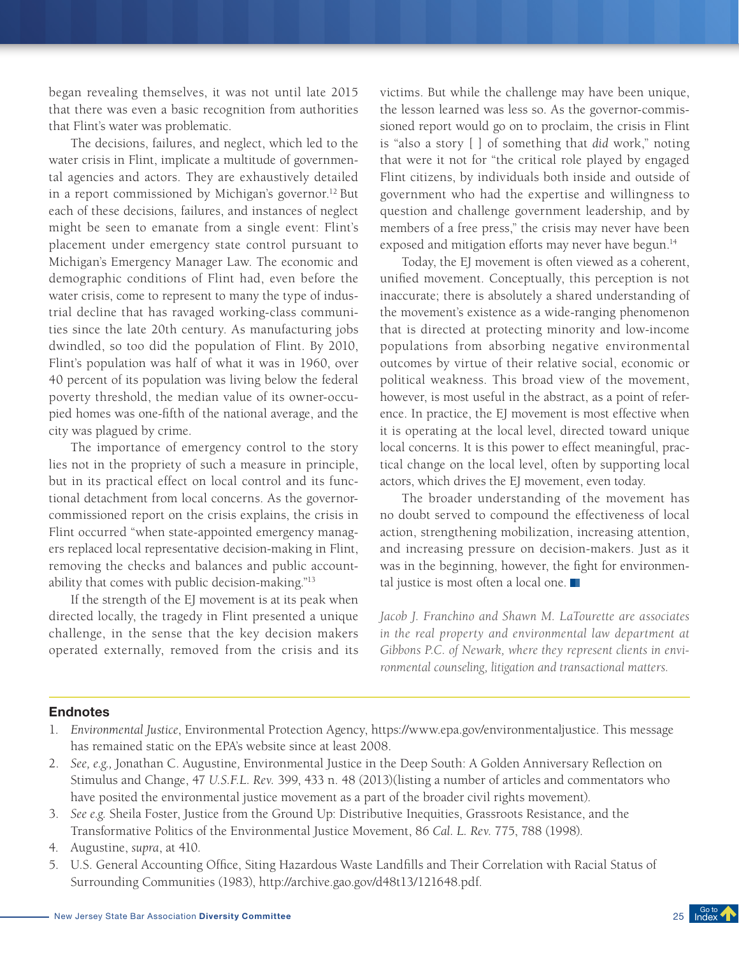began revealing themselves, it was not until late 2015 that there was even a basic recognition from authorities that Flint's water was problematic.

The decisions, failures, and neglect, which led to the water crisis in Flint, implicate a multitude of governmental agencies and actors. They are exhaustively detailed in a report commissioned by Michigan's governor.<sup>12</sup> But each of these decisions, failures, and instances of neglect might be seen to emanate from a single event: Flint's placement under emergency state control pursuant to Michigan's Emergency Manager Law. The economic and demographic conditions of Flint had, even before the water crisis, come to represent to many the type of industrial decline that has ravaged working-class communities since the late 20th century. As manufacturing jobs dwindled, so too did the population of Flint. By 2010, Flint's population was half of what it was in 1960, over 40 percent of its population was living below the federal poverty threshold, the median value of its owner-occupied homes was one-fifth of the national average, and the city was plagued by crime.

The importance of emergency control to the story lies not in the propriety of such a measure in principle, but in its practical effect on local control and its functional detachment from local concerns. As the governorcommissioned report on the crisis explains, the crisis in Flint occurred "when state-appointed emergency managers replaced local representative decision-making in Flint, removing the checks and balances and public accountability that comes with public decision-making."13

If the strength of the EJ movement is at its peak when directed locally, the tragedy in Flint presented a unique challenge, in the sense that the key decision makers operated externally, removed from the crisis and its victims. But while the challenge may have been unique, the lesson learned was less so. As the governor-commissioned report would go on to proclaim, the crisis in Flint is "also a story [ ] of something that *did* work," noting that were it not for "the critical role played by engaged Flint citizens, by individuals both inside and outside of government who had the expertise and willingness to question and challenge government leadership, and by members of a free press," the crisis may never have been exposed and mitigation efforts may never have begun.<sup>14</sup>

Today, the EJ movement is often viewed as a coherent, unified movement. Conceptually, this perception is not inaccurate; there is absolutely a shared understanding of the movement's existence as a wide-ranging phenomenon that is directed at protecting minority and low-income populations from absorbing negative environmental outcomes by virtue of their relative social, economic or political weakness. This broad view of the movement, however, is most useful in the abstract, as a point of reference. In practice, the EJ movement is most effective when it is operating at the local level, directed toward unique local concerns. It is this power to effect meaningful, practical change on the local level, often by supporting local actors, which drives the EJ movement, even today.

The broader understanding of the movement has no doubt served to compound the effectiveness of local action, strengthening mobilization, increasing attention, and increasing pressure on decision-makers. Just as it was in the beginning, however, the fight for environmental justice is most often a local one.

*Jacob J. Franchino and Shawn M. LaTourette are associates in the real property and environmental law department at Gibbons P.C. of Newark, where they represent clients in environmental counseling, litigation and transactional matters.*

### **Endnotes**

- 1. *Environmental Justice*, Environmental Protection Agency, https://www.epa.gov/environmentaljustice. This message has remained static on the EPA's website since at least 2008.
- 2. *See, e.g.,* Jonathan C. Augustine*,* Environmental Justice in the Deep South: A Golden Anniversary Reflection on Stimulus and Change, 47 *U.S.F.L. Rev.* 399, 433 n. 48 (2013)(listing a number of articles and commentators who have posited the environmental justice movement as a part of the broader civil rights movement).
- 3. *See e.g.* Sheila Foster, Justice from the Ground Up: Distributive Inequities, Grassroots Resistance, and the Transformative Politics of the Environmental Justice Movement, 86 *Cal. L. Rev*. 775, 788 (1998).
- 4. Augustine, *supra*, at 410.
- 5. U.S. General Accounting Office, Siting Hazardous Waste Landfills and Their Correlation with Racial Status of Surrounding Communities (1983), [http://archive.gao.gov/d48t13/121648.pdf.](http://archive.gao.gov/d48t13/121648.pdf)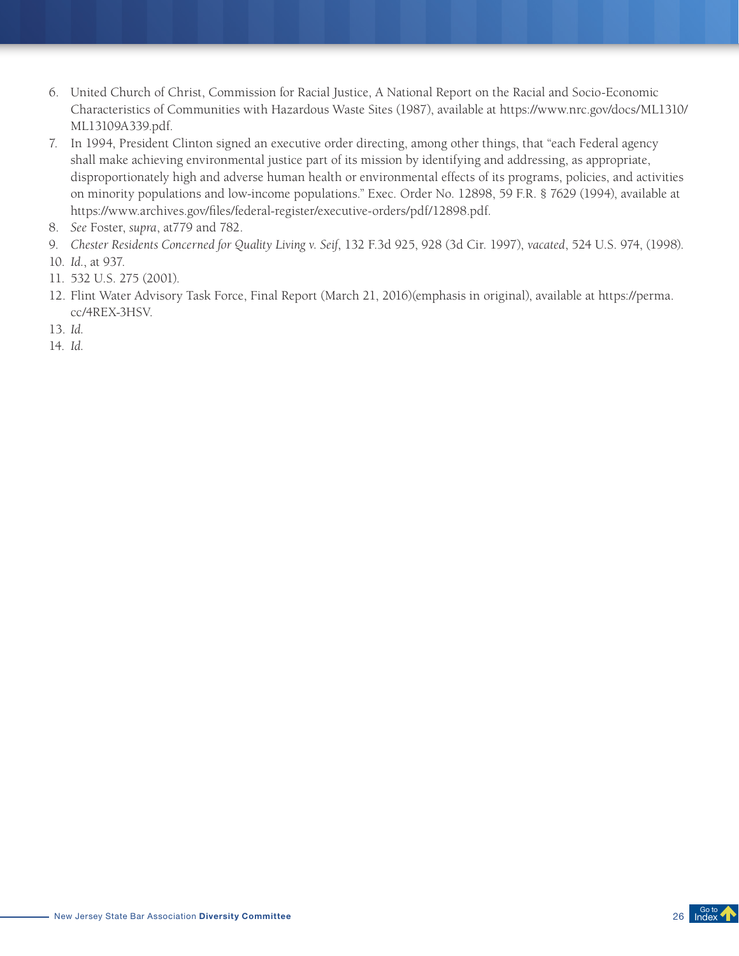- 6. United Church of Christ, Commission for Racial Justice, A National Report on the Racial and Socio-Economic Characteristics of Communities with Hazardous Waste Sites (1987), available at https://www.nrc.gov/docs/ML1310/ ML13109A339.pdf.
- 7. In 1994, President Clinton signed an executive order directing, among other things, that "each Federal agency shall make achieving environmental justice part of its mission by identifying and addressing, as appropriate, disproportionately high and adverse human health or environmental effects of its programs, policies, and activities on minority populations and low-income populations." Exec. Order No. 12898, 59 F.R. § 7629 (1994), available at https://www.archives.gov/files/federal-register/executive-orders/pdf/12898.pdf.
- 8. *See* Foster, *supra*, at779 and 782.
- 9. *Chester Residents Concerned for Quality Living v. Seif*, 132 F.3d 925, 928 (3d Cir. 1997), *vacated*, 524 U.S. 974, (1998).
- 10. *Id.*, at 937.
- 11. 532 U.S. 275 (2001).
- 12. Flint Water Advisory Task Force, Final Report (March 21, 2016)(emphasis in original), available at https://perma. cc/4REX-3HSV.
- 13. *Id.*
- 14. *Id.*

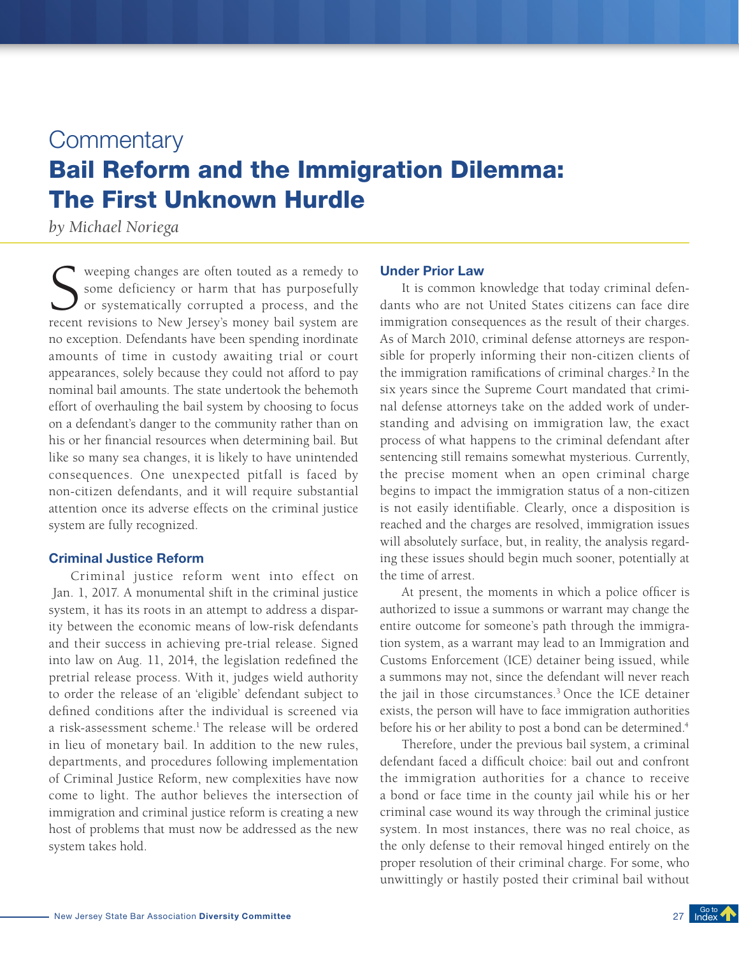# <span id="page-26-0"></span>**Commentary** Bail Reform and the Immigration Dilemma: The First Unknown Hurdle

*by Michael Noriega*

S weeping changes are often touted as a remedy to some deficiency or harm that has purposefully or systematically corrupted a process, and the recent revisions to New Jersey's money bail system are some deficiency or harm that has purposefully or systematically corrupted a process, and the recent revisions to New Jersey's money bail system are no exception. Defendants have been spending inordinate amounts of time in custody awaiting trial or court appearances, solely because they could not afford to pay nominal bail amounts. The state undertook the behemoth effort of overhauling the bail system by choosing to focus on a defendant's danger to the community rather than on his or her financial resources when determining bail. But like so many sea changes, it is likely to have unintended consequences. One unexpected pitfall is faced by non-citizen defendants, and it will require substantial attention once its adverse effects on the criminal justice system are fully recognized.

### Criminal Justice Reform

Criminal justice reform went into effect on Jan. 1, 2017. A monumental shift in the criminal justice system, it has its roots in an attempt to address a disparity between the economic means of low-risk defendants and their success in achieving pre-trial release. Signed into law on Aug. 11, 2014, the legislation redefined the pretrial release process. With it, judges wield authority to order the release of an 'eligible' defendant subject to defined conditions after the individual is screened via a risk-assessment scheme.<sup>1</sup> The release will be ordered in lieu of monetary bail. In addition to the new rules, departments, and procedures following implementation of Criminal Justice Reform, new complexities have now come to light. The author believes the intersection of immigration and criminal justice reform is creating a new host of problems that must now be addressed as the new system takes hold.

#### Under Prior Law

It is common knowledge that today criminal defendants who are not United States citizens can face dire immigration consequences as the result of their charges. As of March 2010, criminal defense attorneys are responsible for properly informing their non-citizen clients of the immigration ramifications of criminal charges.<sup>2</sup> In the six years since the Supreme Court mandated that criminal defense attorneys take on the added work of understanding and advising on immigration law, the exact process of what happens to the criminal defendant after sentencing still remains somewhat mysterious. Currently, the precise moment when an open criminal charge begins to impact the immigration status of a non-citizen is not easily identifiable. Clearly, once a disposition is reached and the charges are resolved, immigration issues will absolutely surface, but, in reality, the analysis regarding these issues should begin much sooner, potentially at the time of arrest.

At present, the moments in which a police officer is authorized to issue a summons or warrant may change the entire outcome for someone's path through the immigration system, as a warrant may lead to an Immigration and Customs Enforcement (ICE) detainer being issued, while a summons may not, since the defendant will never reach the jail in those circumstances.3 Once the ICE detainer exists, the person will have to face immigration authorities before his or her ability to post a bond can be determined.<sup>4</sup>

Therefore, under the previous bail system, a criminal defendant faced a difficult choice: bail out and confront the immigration authorities for a chance to receive a bond or face time in the county jail while his or her criminal case wound its way through the criminal justice system. In most instances, there was no real choice, as the only defense to their removal hinged entirely on the proper resolution of their criminal charge. For some, who unwittingly or hastily posted their criminal bail without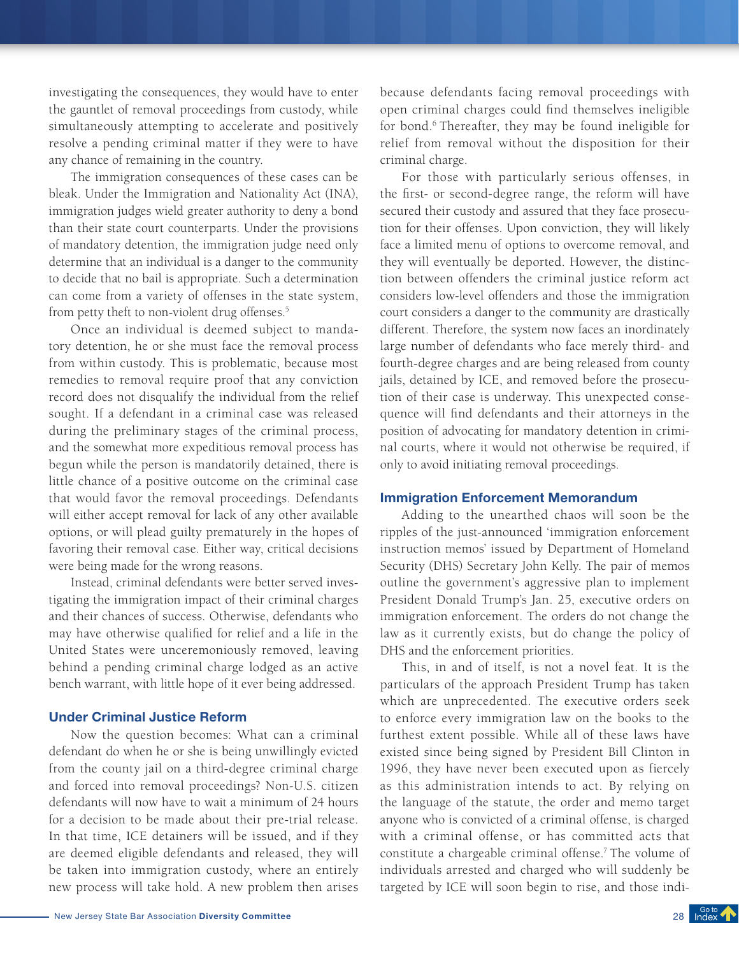investigating the consequences, they would have to enter the gauntlet of removal proceedings from custody, while simultaneously attempting to accelerate and positively resolve a pending criminal matter if they were to have any chance of remaining in the country.

The immigration consequences of these cases can be bleak. Under the Immigration and Nationality Act (INA), immigration judges wield greater authority to deny a bond than their state court counterparts. Under the provisions of mandatory detention, the immigration judge need only determine that an individual is a danger to the community to decide that no bail is appropriate. Such a determination can come from a variety of offenses in the state system, from petty theft to non-violent drug offenses.<sup>5</sup>

Once an individual is deemed subject to mandatory detention, he or she must face the removal process from within custody. This is problematic, because most remedies to removal require proof that any conviction record does not disqualify the individual from the relief sought. If a defendant in a criminal case was released during the preliminary stages of the criminal process, and the somewhat more expeditious removal process has begun while the person is mandatorily detained, there is little chance of a positive outcome on the criminal case that would favor the removal proceedings. Defendants will either accept removal for lack of any other available options, or will plead guilty prematurely in the hopes of favoring their removal case. Either way, critical decisions were being made for the wrong reasons.

Instead, criminal defendants were better served investigating the immigration impact of their criminal charges and their chances of success. Otherwise, defendants who may have otherwise qualified for relief and a life in the United States were unceremoniously removed, leaving behind a pending criminal charge lodged as an active bench warrant, with little hope of it ever being addressed.

### Under Criminal Justice Reform

Now the question becomes: What can a criminal defendant do when he or she is being unwillingly evicted from the county jail on a third-degree criminal charge and forced into removal proceedings? Non-U.S. citizen defendants will now have to wait a minimum of 24 hours for a decision to be made about their pre-trial release. In that time, ICE detainers will be issued, and if they are deemed eligible defendants and released, they will be taken into immigration custody, where an entirely new process will take hold. A new problem then arises because defendants facing removal proceedings with open criminal charges could find themselves ineligible for bond.<sup>6</sup> Thereafter, they may be found ineligible for relief from removal without the disposition for their criminal charge.

For those with particularly serious offenses, in the first- or second-degree range, the reform will have secured their custody and assured that they face prosecution for their offenses. Upon conviction, they will likely face a limited menu of options to overcome removal, and they will eventually be deported. However, the distinction between offenders the criminal justice reform act considers low-level offenders and those the immigration court considers a danger to the community are drastically different. Therefore, the system now faces an inordinately large number of defendants who face merely third- and fourth-degree charges and are being released from county jails, detained by ICE, and removed before the prosecution of their case is underway. This unexpected consequence will find defendants and their attorneys in the position of advocating for mandatory detention in criminal courts, where it would not otherwise be required, if only to avoid initiating removal proceedings.

#### Immigration Enforcement Memorandum

Adding to the unearthed chaos will soon be the ripples of the just-announced 'immigration enforcement instruction memos' issued by Department of Homeland Security (DHS) Secretary John Kelly. The pair of memos outline the government's aggressive plan to implement President Donald Trump's Jan. 25, executive orders on immigration enforcement. The orders do not change the law as it currently exists, but do change the policy of DHS and the enforcement priorities.

This, in and of itself, is not a novel feat. It is the particulars of the approach President Trump has taken which are unprecedented. The executive orders seek to enforce every immigration law on the books to the furthest extent possible. While all of these laws have existed since being signed by President Bill Clinton in 1996, they have never been executed upon as fiercely as this administration intends to act. By relying on the language of the statute, the order and memo target anyone who is convicted of a criminal offense, is charged with a criminal offense, or has committed acts that constitute a chargeable criminal offense.7 The volume of individuals arrested and charged who will suddenly be targeted by ICE will soon begin to rise, and those indi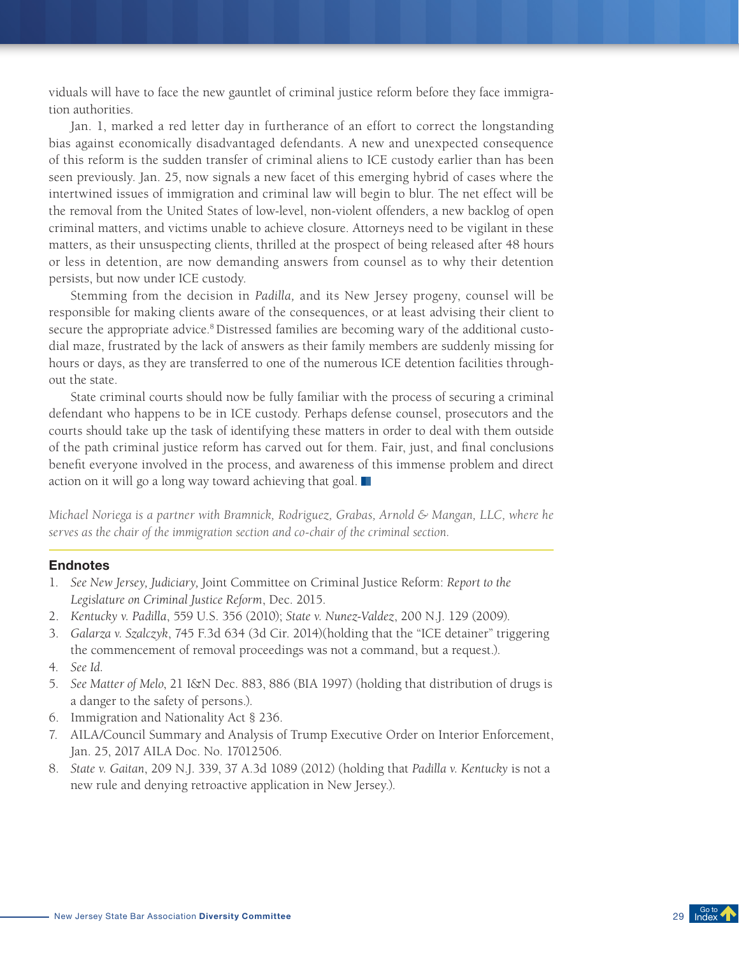viduals will have to face the new gauntlet of criminal justice reform before they face immigration authorities.

Jan. 1, marked a red letter day in furtherance of an effort to correct the longstanding bias against economically disadvantaged defendants. A new and unexpected consequence of this reform is the sudden transfer of criminal aliens to ICE custody earlier than has been seen previously. Jan. 25, now signals a new facet of this emerging hybrid of cases where the intertwined issues of immigration and criminal law will begin to blur. The net effect will be the removal from the United States of low-level, non-violent offenders, a new backlog of open criminal matters, and victims unable to achieve closure. Attorneys need to be vigilant in these matters, as their unsuspecting clients, thrilled at the prospect of being released after 48 hours or less in detention, are now demanding answers from counsel as to why their detention persists, but now under ICE custody.

Stemming from the decision in *Padilla,* and its New Jersey progeny, counsel will be responsible for making clients aware of the consequences, or at least advising their client to secure the appropriate advice.<sup>8</sup> Distressed families are becoming wary of the additional custodial maze, frustrated by the lack of answers as their family members are suddenly missing for hours or days, as they are transferred to one of the numerous ICE detention facilities throughout the state.

State criminal courts should now be fully familiar with the process of securing a criminal defendant who happens to be in ICE custody. Perhaps defense counsel, prosecutors and the courts should take up the task of identifying these matters in order to deal with them outside of the path criminal justice reform has carved out for them. Fair, just, and final conclusions benefit everyone involved in the process, and awareness of this immense problem and direct action on it will go a long way toward achieving that goal.  $\blacksquare$ 

*Michael Noriega is a partner with Bramnick, Rodriguez, Grabas, Arnold & Mangan, LLC, where he serves as the chair of the immigration section and co-chair of the criminal section.*

### **Endnotes**

- 1. *See New Jersey, Judiciary,* Joint Committee on Criminal Justice Reform: *Report to the Legislature on Criminal Justice Reform*, Dec. 2015.
- 2. *Kentucky v. Padilla*, 559 U.S. 356 (2010); *State v. Nunez-Valdez*, 200 N.J. 129 (2009).
- 3. *Galarza v. Szalczyk*, 745 F.3d 634 (3d Cir. 2014)(holding that the "ICE detainer" triggering the commencement of removal proceedings was not a command, but a request.).
- 4. *See Id.*
- 5. *See Matter of Melo*, 21 I&N Dec. 883, 886 (BIA 1997) (holding that distribution of drugs is a danger to the safety of persons.).
- 6. Immigration and Nationality Act § 236.
- 7. AILA/Council Summary and Analysis of Trump Executive Order on Interior Enforcement, Jan. 25, 2017 AILA Doc. No. 17012506.
- 8. *State v. Gaitan*, 209 N.J. 339, 37 A.3d 1089 (2012) (holding that *Padilla v. Kentucky* is not a new rule and denying retroactive application in New Jersey.).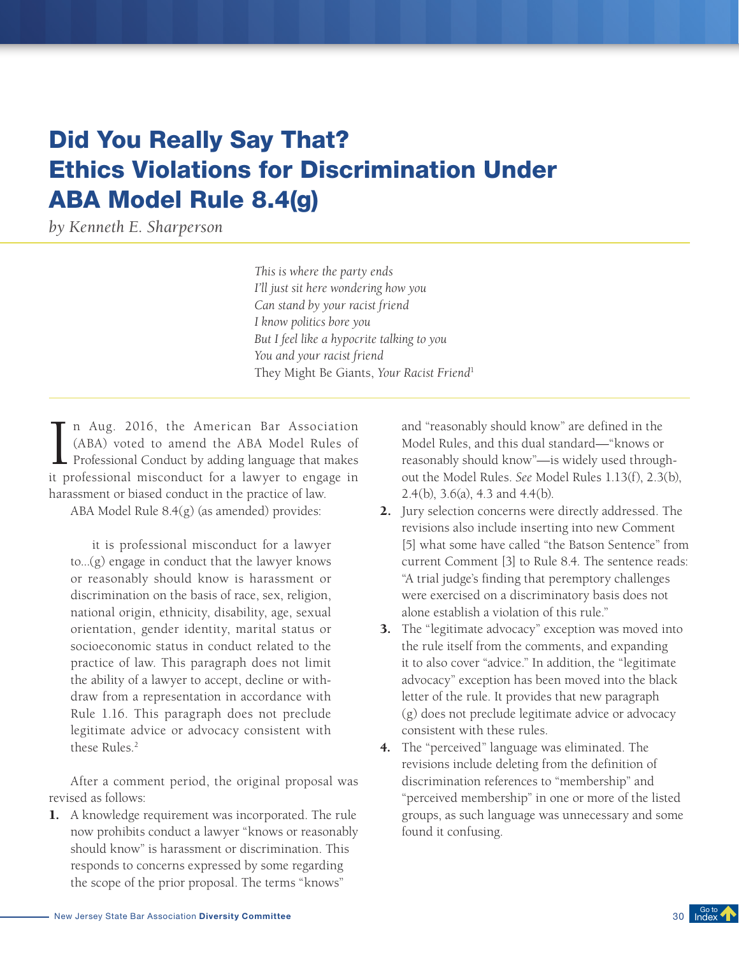# <span id="page-29-0"></span>Did You Really Say That? Ethics Violations for Discrimination Under ABA Model Rule 8.4(g)

*by Kenneth E. Sharperson* 

*This is where the party ends I'll just sit here wondering how you Can stand by your racist friend I know politics bore you But I feel like a hypocrite talking to you You and your racist friend* They Might Be Giants, *Your Racist Friend*<sup>1</sup>

In Aug. 2016, the American Bar Association (ABA) voted to amend the ABA Model Rules of Professional Conduct by adding language that makes it professional misconduct for a lawyer to engage in n Aug. 2016, the American Bar Association (ABA) voted to amend the ABA Model Rules of Professional Conduct by adding language that makes harassment or biased conduct in the practice of law.

ABA Model Rule 8.4(g) (as amended) provides:

it is professional misconduct for a lawyer to...(g) engage in conduct that the lawyer knows or reasonably should know is harassment or discrimination on the basis of race, sex, religion, national origin, ethnicity, disability, age, sexual orientation, gender identity, marital status or socioeconomic status in conduct related to the practice of law. This paragraph does not limit the ability of a lawyer to accept, decline or withdraw from a representation in accordance with Rule 1.16. This paragraph does not preclude legitimate advice or advocacy consistent with these Rules.2

After a comment period, the original proposal was revised as follows:

1. A knowledge requirement was incorporated. The rule now prohibits conduct a lawyer "knows or reasonably should know" is harassment or discrimination. This responds to concerns expressed by some regarding the scope of the prior proposal. The terms "knows"

and "reasonably should know" are defined in the Model Rules, and this dual standard—"knows or reasonably should know"—is widely used throughout the Model Rules. *See* Model Rules 1.13(f), 2.3(b), 2.4(b), 3.6(a), 4.3 and 4.4(b).

- 2. Jury selection concerns were directly addressed. The revisions also include inserting into new Comment [5] what some have called "the Batson Sentence" from current Comment [3] to Rule 8.4. The sentence reads: "A trial judge's finding that peremptory challenges were exercised on a discriminatory basis does not alone establish a violation of this rule."
- **3.** The "legitimate advocacy" exception was moved into the rule itself from the comments, and expanding it to also cover "advice." In addition, the "legitimate advocacy" exception has been moved into the black letter of the rule. It provides that new paragraph (g) does not preclude legitimate advice or advocacy consistent with these rules.
- 4. The "perceived" language was eliminated. The revisions include deleting from the definition of discrimination references to "membership" and "perceived membership" in one or more of the listed groups, as such language was unnecessary and some found it confusing.

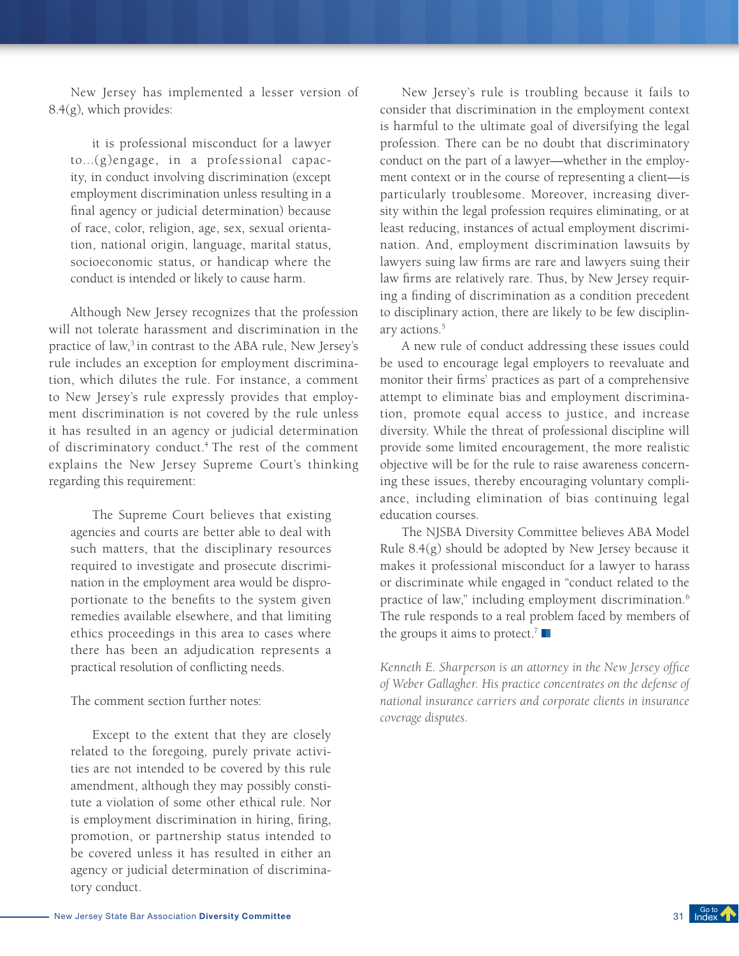New Jersey has implemented a lesser version of 8.4(g), which provides:

it is professional misconduct for a lawyer to...(g)engage, in a professional capacity, in conduct involving discrimination (except employment discrimination unless resulting in a final agency or judicial determination) because of race, color, religion, age, sex, sexual orientation, national origin, language, marital status, socioeconomic status, or handicap where the conduct is intended or likely to cause harm.

Although New Jersey recognizes that the profession will not tolerate harassment and discrimination in the practice of law,<sup>3</sup> in contrast to the ABA rule, New Jersey's rule includes an exception for employment discrimination, which dilutes the rule. For instance, a comment to New Jersey's rule expressly provides that employment discrimination is not covered by the rule unless it has resulted in an agency or judicial determination of discriminatory conduct.<sup>4</sup> The rest of the comment explains the New Jersey Supreme Court's thinking regarding this requirement:

The Supreme Court believes that existing agencies and courts are better able to deal with such matters, that the disciplinary resources required to investigate and prosecute discrimination in the employment area would be disproportionate to the benefits to the system given remedies available elsewhere, and that limiting ethics proceedings in this area to cases where there has been an adjudication represents a practical resolution of conflicting needs.

### The comment section further notes:

Except to the extent that they are closely related to the foregoing, purely private activities are not intended to be covered by this rule amendment, although they may possibly constitute a violation of some other ethical rule. Nor is employment discrimination in hiring, firing, promotion, or partnership status intended to be covered unless it has resulted in either an agency or judicial determination of discriminatory conduct.

New Jersey's rule is troubling because it fails to consider that discrimination in the employment context is harmful to the ultimate goal of diversifying the legal profession. There can be no doubt that discriminatory conduct on the part of a lawyer—whether in the employment context or in the course of representing a client—is particularly troublesome. Moreover, increasing diversity within the legal profession requires eliminating, or at least reducing, instances of actual employment discrimination. And, employment discrimination lawsuits by lawyers suing law firms are rare and lawyers suing their law firms are relatively rare. Thus, by New Jersey requiring a finding of discrimination as a condition precedent to disciplinary action, there are likely to be few disciplinary actions.5

A new rule of conduct addressing these issues could be used to encourage legal employers to reevaluate and monitor their firms' practices as part of a comprehensive attempt to eliminate bias and employment discrimination, promote equal access to justice, and increase diversity. While the threat of professional discipline will provide some limited encouragement, the more realistic objective will be for the rule to raise awareness concerning these issues, thereby encouraging voluntary compliance, including elimination of bias continuing legal education courses.

The NJSBA Diversity Committee believes ABA Model Rule 8.4(g) should be adopted by New Jersey because it makes it professional misconduct for a lawyer to harass or discriminate while engaged in "conduct related to the practice of law," including employment discrimination.<sup>6</sup> The rule responds to a real problem faced by members of the groups it aims to protect.<sup>7</sup>

*Kenneth E. Sharperson is an attorney in the New Jersey office of Weber Gallagher. His practice concentrates on the defense of national insurance carriers and corporate clients in insurance coverage disputes.*